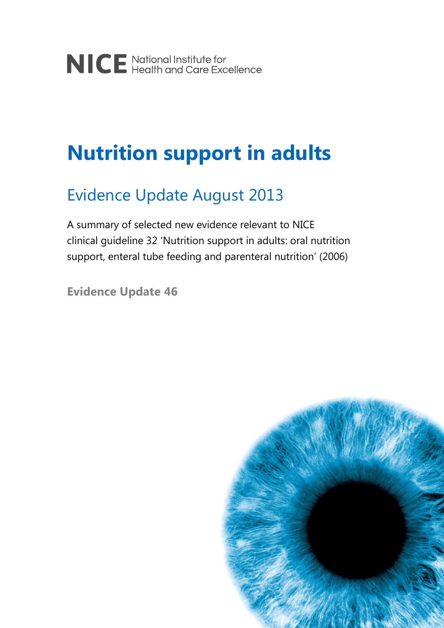# **Nutrition support in adults**

## Evidence Update August 2013

A summary of selected new evidence relevant to NICE clinical guideline 32 'Nutrition support in adults: oral nutrition support, enteral tube feeding and parenteral nutrition' (2006)

**Evidence Update 46**

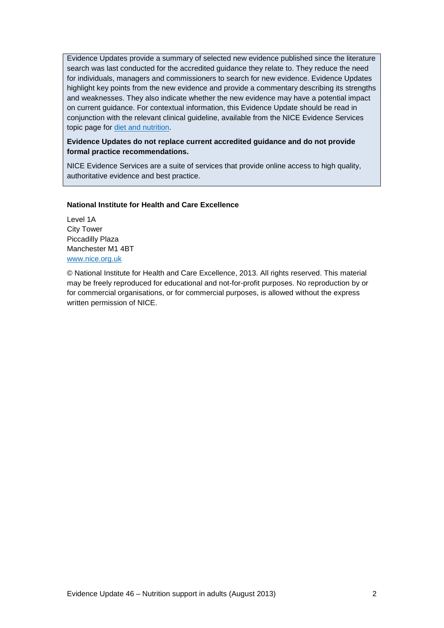Evidence Updates provide a summary of selected new evidence published since the literature search was last conducted for the accredited guidance they relate to. They reduce the need for individuals, managers and commissioners to search for new evidence. Evidence Updates highlight key points from the new evidence and provide a commentary describing its strengths and weaknesses. They also indicate whether the new evidence may have a potential impact on current guidance. For contextual information, this Evidence Update should be read in conjunction with the relevant clinical guideline, available from the NICE Evidence Services topic page for [diet and nutrition.](https://www.evidence.nhs.uk/topic/diet-and-nutrition)

### **Evidence Updates do not replace current accredited guidance and do not provide formal practice recommendations.**

NICE Evidence Services are a suite of services that provide online access to high quality, authoritative evidence and best practice.

### **National Institute for Health and Care Excellence**

Level 1A City Tower Piccadilly Plaza Manchester M1 4BT [www.nice.org.uk](http://www.nice.org.uk/)

© National Institute for Health and Care Excellence, 2013. All rights reserved. This material may be freely reproduced for educational and not-for-profit purposes. No reproduction by or for commercial organisations, or for commercial purposes, is allowed without the express written permission of NICE.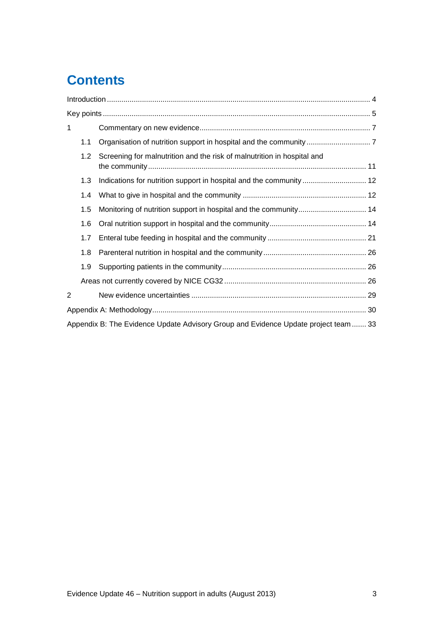## **Contents**

| 1 |     |                                                                                     |  |  |  |
|---|-----|-------------------------------------------------------------------------------------|--|--|--|
|   | 1.1 |                                                                                     |  |  |  |
|   | 1.2 | Screening for malnutrition and the risk of malnutrition in hospital and             |  |  |  |
|   | 1.3 |                                                                                     |  |  |  |
|   | 1.4 |                                                                                     |  |  |  |
|   | 1.5 | Monitoring of nutrition support in hospital and the community 14                    |  |  |  |
|   | 1.6 |                                                                                     |  |  |  |
|   | 1.7 |                                                                                     |  |  |  |
|   | 1.8 |                                                                                     |  |  |  |
|   | 1.9 |                                                                                     |  |  |  |
|   |     |                                                                                     |  |  |  |
| 2 |     |                                                                                     |  |  |  |
|   |     |                                                                                     |  |  |  |
|   |     | Appendix B: The Evidence Update Advisory Group and Evidence Update project team  33 |  |  |  |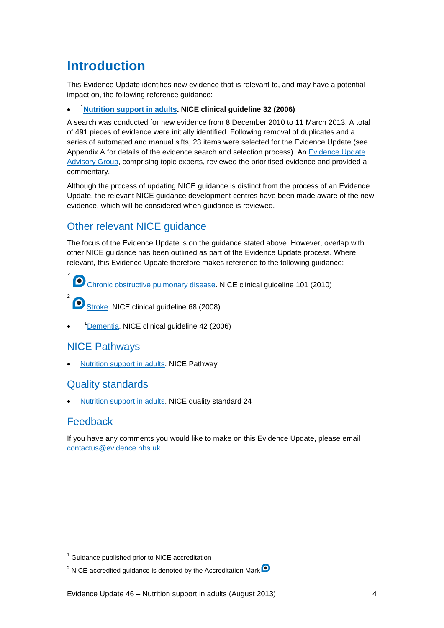## <span id="page-3-0"></span>**Introduction**

This Evidence Update identifies new evidence that is relevant to, and may have a potential impact on, the following reference guidance:

• [1](#page-3-1) **[Nutrition support in adults.](http://guidance.nice.org.uk/CG32) NICE clinical guideline 32 (2006)**

A search was conducted for new evidence from 8 December 2010 to 11 March 2013. A total of 491 pieces of evidence were initially identified. Following removal of duplicates and a series of automated and manual sifts, 23 items were selected for the Evidence Update (see Appendix A for details of the evidence search and selection process). An [Evidence Update](#page-32-1)  [Advisory Group,](#page-32-1) comprising topic experts, reviewed the prioritised evidence and provided a commentary.

Although the process of updating NICE guidance is distinct from the process of an Evidence Update, the relevant NICE guidance development centres have been made aware of the new evidence, which will be considered when guidance is reviewed.

### Other relevant NICE guidance

The focus of the Evidence Update is on the guidance stated above. However, overlap with other NICE guidance has been outlined as part of the Evidence Update process. Where relevant, this Evidence Update therefore makes reference to the following guidance:

[Chronic obstructive pulmonary disease.](http://guidance.nice.org.uk/CG101) NICE clinical guideline 101 (2010) [2](#page-3-2)

[Stroke.](http://guidance.nice.org.uk/CG68) NICE clinical guideline 68 (2008)

• <sup>1</sup>[Dementia.](http://www.nice.org.uk/CG42) NICE clinical guideline 42 (2006)

### NICE Pathways

2

• [Nutrition support in adults.](http://pathways.nice.org.uk/pathways/nutrition-support-in-adults) NICE Pathway

### Quality standards

• [Nutrition support in adults.](http://www.nice.org.uk/guidance/QS24) NICE quality standard 24

### Feedback

-

If you have any comments you would like to make on this Evidence Update, please email [contactus@evidence.nhs.uk](mailto:contactus@evidence.nhs.uk)

<span id="page-3-1"></span><sup>1</sup> Guidance published prior to NICE accreditation

<span id="page-3-2"></span><sup>&</sup>lt;sup>2</sup> NICE-accredited guidance is denoted by the Accreditation Mark  $\bullet$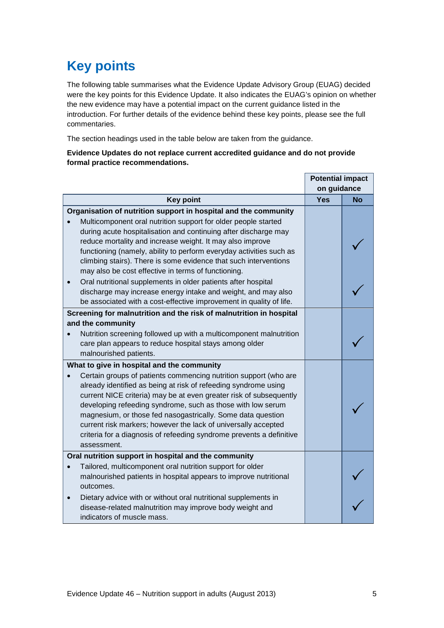## <span id="page-4-0"></span>**Key points**

The following table summarises what the Evidence Update Advisory Group (EUAG) decided were the key points for this Evidence Update. It also indicates the EUAG's opinion on whether the new evidence may have a potential impact on the current guidance listed in the introduction. For further details of the evidence behind these key points, please see the full commentaries.

The section headings used in the table below are taken from the guidance.

### **Evidence Updates do not replace current accredited guidance and do not provide formal practice recommendations.**

|                                                                                                                                                                                                                                                                                                                                                                                                                                                                                                                                                |             | <b>Potential impact</b> |  |
|------------------------------------------------------------------------------------------------------------------------------------------------------------------------------------------------------------------------------------------------------------------------------------------------------------------------------------------------------------------------------------------------------------------------------------------------------------------------------------------------------------------------------------------------|-------------|-------------------------|--|
|                                                                                                                                                                                                                                                                                                                                                                                                                                                                                                                                                | on guidance |                         |  |
| <b>Key point</b>                                                                                                                                                                                                                                                                                                                                                                                                                                                                                                                               | <b>Yes</b>  | <b>No</b>               |  |
| Organisation of nutrition support in hospital and the community<br>Multicomponent oral nutrition support for older people started<br>during acute hospitalisation and continuing after discharge may<br>reduce mortality and increase weight. It may also improve<br>functioning (namely, ability to perform everyday activities such as<br>climbing stairs). There is some evidence that such interventions<br>may also be cost effective in terms of functioning.                                                                            |             |                         |  |
| Oral nutritional supplements in older patients after hospital<br>discharge may increase energy intake and weight, and may also<br>be associated with a cost-effective improvement in quality of life.                                                                                                                                                                                                                                                                                                                                          |             |                         |  |
| Screening for malnutrition and the risk of malnutrition in hospital<br>and the community<br>Nutrition screening followed up with a multicomponent malnutrition<br>care plan appears to reduce hospital stays among older<br>malnourished patients.                                                                                                                                                                                                                                                                                             |             |                         |  |
| What to give in hospital and the community<br>Certain groups of patients commencing nutrition support (who are<br>already identified as being at risk of refeeding syndrome using<br>current NICE criteria) may be at even greater risk of subsequently<br>developing refeeding syndrome, such as those with low serum<br>magnesium, or those fed nasogastrically. Some data question<br>current risk markers; however the lack of universally accepted<br>criteria for a diagnosis of refeeding syndrome prevents a definitive<br>assessment. |             |                         |  |
| Oral nutrition support in hospital and the community<br>Tailored, multicomponent oral nutrition support for older<br>malnourished patients in hospital appears to improve nutritional<br>outcomes.<br>Dietary advice with or without oral nutritional supplements in<br>disease-related malnutrition may improve body weight and<br>indicators of muscle mass.                                                                                                                                                                                 |             |                         |  |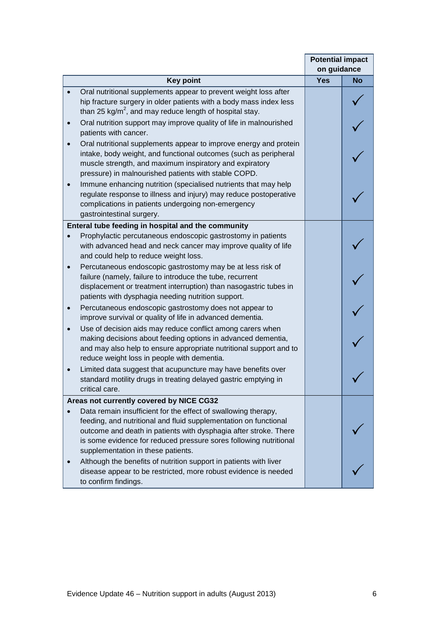|                                                                                                                                                                                                                                                                                                                   |     | <b>Potential impact</b><br>on guidance |  |
|-------------------------------------------------------------------------------------------------------------------------------------------------------------------------------------------------------------------------------------------------------------------------------------------------------------------|-----|----------------------------------------|--|
| <b>Key point</b>                                                                                                                                                                                                                                                                                                  | Yes | <b>No</b>                              |  |
| Oral nutritional supplements appear to prevent weight loss after<br>hip fracture surgery in older patients with a body mass index less<br>than 25 kg/m <sup>2</sup> , and may reduce length of hospital stay.                                                                                                     |     |                                        |  |
| Oral nutrition support may improve quality of life in malnourished<br>$\bullet$<br>patients with cancer.                                                                                                                                                                                                          |     |                                        |  |
| Oral nutritional supplements appear to improve energy and protein<br>intake, body weight, and functional outcomes (such as peripheral<br>muscle strength, and maximum inspiratory and expiratory<br>pressure) in malnourished patients with stable COPD.                                                          |     |                                        |  |
| Immune enhancing nutrition (specialised nutrients that may help<br>regulate response to illness and injury) may reduce postoperative<br>complications in patients undergoing non-emergency<br>gastrointestinal surgery.                                                                                           |     |                                        |  |
| Enteral tube feeding in hospital and the community                                                                                                                                                                                                                                                                |     |                                        |  |
| Prophylactic percutaneous endoscopic gastrostomy in patients<br>with advanced head and neck cancer may improve quality of life<br>and could help to reduce weight loss.                                                                                                                                           |     |                                        |  |
| Percutaneous endoscopic gastrostomy may be at less risk of<br>failure (namely, failure to introduce the tube, recurrent<br>displacement or treatment interruption) than nasogastric tubes in<br>patients with dysphagia needing nutrition support.                                                                |     |                                        |  |
| Percutaneous endoscopic gastrostomy does not appear to<br>$\bullet$<br>improve survival or quality of life in advanced dementia.                                                                                                                                                                                  |     |                                        |  |
| Use of decision aids may reduce conflict among carers when<br>$\bullet$<br>making decisions about feeding options in advanced dementia,<br>and may also help to ensure appropriate nutritional support and to<br>reduce weight loss in people with dementia.                                                      |     |                                        |  |
| Limited data suggest that acupuncture may have benefits over<br>standard motility drugs in treating delayed gastric emptying in<br>critical care.                                                                                                                                                                 |     |                                        |  |
| Areas not currently covered by NICE CG32                                                                                                                                                                                                                                                                          |     |                                        |  |
| Data remain insufficient for the effect of swallowing therapy,<br>feeding, and nutritional and fluid supplementation on functional<br>outcome and death in patients with dysphagia after stroke. There<br>is some evidence for reduced pressure sores following nutritional<br>supplementation in these patients. |     |                                        |  |
| Although the benefits of nutrition support in patients with liver<br>disease appear to be restricted, more robust evidence is needed<br>to confirm findings.                                                                                                                                                      |     |                                        |  |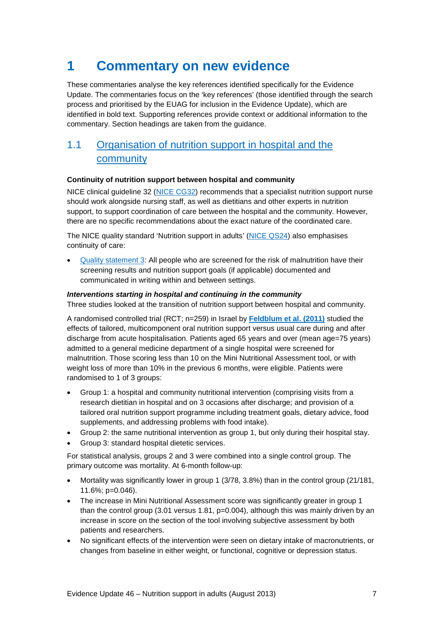## <span id="page-6-0"></span>**1 Commentary on new evidence**

These commentaries analyse the key references identified specifically for the Evidence Update. The commentaries focus on the 'key references' (those identified through the search process and prioritised by the EUAG for inclusion in the Evidence Update), which are identified in bold text. Supporting references provide context or additional information to the commentary. Section headings are taken from the guidance.

### <span id="page-6-1"></span>1.1 [Organisation of nutrition support in hospital and the](http://publications.nice.org.uk/nutrition-support-in-adults-cg32/guidance#organisation-of-nutrition-support-in-hospital-and-the-community)  [community](http://publications.nice.org.uk/nutrition-support-in-adults-cg32/guidance#organisation-of-nutrition-support-in-hospital-and-the-community)

### **Continuity of nutrition support between hospital and community**

NICE clinical guideline 32 [\(NICE CG32\)](http://www.nice.org.uk/CG32) recommends that a specialist nutrition support nurse should work alongside nursing staff, as well as dietitians and other experts in nutrition support, to support coordination of care between the hospital and the community. However, there are no specific recommendations about the exact nature of the coordinated care.

The NICE quality standard 'Nutrition support in adults' [\(NICE QS24\)](http://www.nice.org.uk/guidance/QS24) also emphasises continuity of care:

• [Quality statement 3:](http://publications.nice.org.uk/quality-standard-for-nutrition-support-in-adults-qs24/quality-statement-3-documentation-and-communication-of-results-and-nutrition-support-goals) All people who are screened for the risk of malnutrition have their screening results and nutrition support goals (if applicable) documented and communicated in writing within and between settings.

### *Interventions starting in hospital and continuing in the community*

Three studies looked at the transition of nutrition support between hospital and community.

A randomised controlled trial (RCT; n=259) in Israel by **[Feldblum et al. \(2011\)](http://onlinelibrary.wiley.com/doi/10.1111/j.1532-5415.2010.03174.x/abstract)** studied the effects of tailored, multicomponent oral nutrition support versus usual care during and after discharge from acute hospitalisation. Patients aged 65 years and over (mean age=75 years) admitted to a general medicine department of a single hospital were screened for malnutrition. Those scoring less than 10 on the Mini Nutritional Assessment tool, or with weight loss of more than 10% in the previous 6 months, were eligible. Patients were randomised to 1 of 3 groups:

- Group 1: a hospital and community nutritional intervention (comprising visits from a research dietitian in hospital and on 3 occasions after discharge; and provision of a tailored oral nutrition support programme including treatment goals, dietary advice, food supplements, and addressing problems with food intake).
- Group 2: the same nutritional intervention as group 1, but only during their hospital stay.
- Group 3: standard hospital dietetic services.

For statistical analysis, groups 2 and 3 were combined into a single control group. The primary outcome was mortality. At 6-month follow-up:

- Mortality was significantly lower in group 1 (3/78, 3.8%) than in the control group (21/181, 11.6%; p=0.046).
- The increase in Mini Nutritional Assessment score was significantly greater in group 1 than the control group  $(3.01 \text{ versus } 1.81, p=0.004)$ , although this was mainly driven by an increase in score on the section of the tool involving subjective assessment by both patients and researchers.
- No significant effects of the intervention were seen on dietary intake of macronutrients, or changes from baseline in either weight, or functional, cognitive or depression status.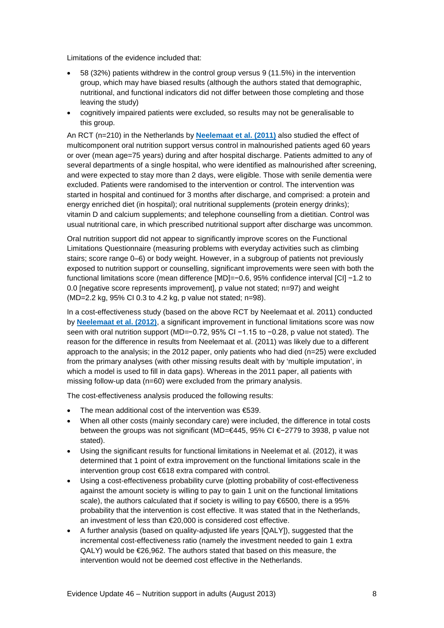Limitations of the evidence included that:

- 58 (32%) patients withdrew in the control group versus 9 (11.5%) in the intervention group, which may have biased results (although the authors stated that demographic, nutritional, and functional indicators did not differ between those completing and those leaving the study)
- cognitively impaired patients were excluded, so results may not be generalisable to this group.

An RCT (n=210) in the Netherlands by **[Neelemaat et al. \(2011\)](http://www.jamda.com/article/S1525-8610(10)00401-9/abstract)** also studied the effect of multicomponent oral nutrition support versus control in malnourished patients aged 60 years or over (mean age=75 years) during and after hospital discharge. Patients admitted to any of several departments of a single hospital, who were identified as malnourished after screening, and were expected to stay more than 2 days, were eligible. Those with senile dementia were excluded. Patients were randomised to the intervention or control. The intervention was started in hospital and continued for 3 months after discharge, and comprised: a protein and energy enriched diet (in hospital); oral nutritional supplements (protein energy drinks); vitamin D and calcium supplements; and telephone counselling from a dietitian. Control was usual nutritional care, in which prescribed nutritional support after discharge was uncommon.

Oral nutrition support did not appear to significantly improve scores on the Functional Limitations Questionnaire (measuring problems with everyday activities such as climbing stairs; score range 0–6) or body weight. However, in a subgroup of patients not previously exposed to nutrition support or counselling, significant improvements were seen with both the functional limitations score (mean difference [MD]=−0.6, 95% confidence interval [CI] −1.2 to 0.0 [negative score represents improvement], p value not stated; n=97) and weight (MD=2.2 kg, 95% CI 0.3 to 4.2 kg, p value not stated; n=98).

In a cost-effectiveness study (based on the above RCT by Neelemaat et al. 2011) conducted by **[Neelemaat et al. \(2012\)](http://www.sciencedirect.com/science/article/pii/S0261561411001920)**, a significant improvement in functional limitations score was now seen with oral nutrition support (MD=−0.72, 95% CI −1.15 to −0.28, p value not stated). The reason for the difference in results from Neelemaat et al. (2011) was likely due to a different approach to the analysis; in the 2012 paper, only patients who had died (n=25) were excluded from the primary analyses (with other missing results dealt with by 'multiple imputation', in which a model is used to fill in data gaps). Whereas in the 2011 paper, all patients with missing follow-up data (n=60) were excluded from the primary analysis.

The cost-effectiveness analysis produced the following results:

- The mean additional cost of the intervention was  $€539$ .
- When all other costs (mainly secondary care) were included, the difference in total costs between the groups was not significant (MD=€445, 95% CI €−2779 to 3938, p value not stated).
- Using the significant results for functional limitations in Neelemat et al. (2012), it was determined that 1 point of extra improvement on the functional limitations scale in the intervention group cost €618 extra compared with control.
- Using a cost-effectiveness probability curve (plotting probability of cost-effectiveness against the amount society is willing to pay to gain 1 unit on the functional limitations scale), the authors calculated that if society is willing to pay €6500, there is a 95% probability that the intervention is cost effective. It was stated that in the Netherlands, an investment of less than €20,000 is considered cost effective.
- A further analysis (based on quality-adjusted life years [QALY]), suggested that the incremental cost-effectiveness ratio (namely the investment needed to gain 1 extra QALY) would be €26,962. The authors stated that based on this measure, the intervention would not be deemed cost effective in the Netherlands.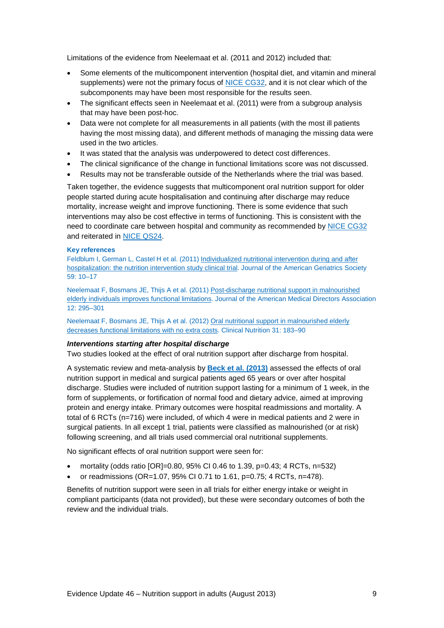Limitations of the evidence from Neelemaat et al. (2011 and 2012) included that:

- Some elements of the multicomponent intervention (hospital diet, and vitamin and mineral supplements) were not the primary focus of [NICE CG32,](http://www.nice.org.uk/CG32) and it is not clear which of the subcomponents may have been most responsible for the results seen.
- The significant effects seen in Neelemaat et al. (2011) were from a subgroup analysis that may have been post-hoc.
- Data were not complete for all measurements in all patients (with the most ill patients having the most missing data), and different methods of managing the missing data were used in the two articles.
- It was stated that the analysis was underpowered to detect cost differences.
- The clinical significance of the change in functional limitations score was not discussed.
- Results may not be transferable outside of the Netherlands where the trial was based.

Taken together, the evidence suggests that multicomponent oral nutrition support for older people started during acute hospitalisation and continuing after discharge may reduce mortality, increase weight and improve functioning. There is some evidence that such interventions may also be cost effective in terms of functioning. This is consistent with the need to coordinate care between hospital and community as recommended by [NICE CG32](http://www.nice.org.uk/CG32) and reiterated in [NICE QS24.](http://www.nice.org.uk/guidance/QS24)

#### **Key references**

Feldblum I, German L, Castel H et al. (2011) [Individualized nutritional intervention during and after](http://onlinelibrary.wiley.com/doi/10.1111/j.1532-5415.2010.03174.x/abstract)  [hospitalization: the nutrition intervention study clinical trial.](http://onlinelibrary.wiley.com/doi/10.1111/j.1532-5415.2010.03174.x/abstract) Journal of the American Geriatrics Society 59: 10–17

Neelemaat F, Bosmans JE, Thijs A et al. (2011[\) Post-discharge nutritional support in malnourished](http://www.jamda.com/article/S1525-8610(10)00401-9/abstract)  [elderly individuals improves functional limitations.](http://www.jamda.com/article/S1525-8610(10)00401-9/abstract) Journal of the American Medical Directors Association 12: 295–301

Neelemaat F, Bosmans JE, Thijs A et al. (2012[\) Oral nutritional support in malnourished elderly](http://www.sciencedirect.com/science/article/pii/S0261561411001920)  [decreases functional limitations with no extra costs.](http://www.sciencedirect.com/science/article/pii/S0261561411001920) Clinical Nutrition 31: 183–90

### *Interventions starting after hospital discharge*

Two studies looked at the effect of oral nutrition support after discharge from hospital.

A systematic review and meta-analysis by **[Beck et al. \(2013\)](http://cre.sagepub.com/content/27/1/19.abstract)** assessed the effects of oral nutrition support in medical and surgical patients aged 65 years or over after hospital discharge. Studies were included of nutrition support lasting for a minimum of 1 week, in the form of supplements, or fortification of normal food and dietary advice, aimed at improving protein and energy intake. Primary outcomes were hospital readmissions and mortality. A total of 6 RCTs (n=716) were included, of which 4 were in medical patients and 2 were in surgical patients. In all except 1 trial, patients were classified as malnourished (or at risk) following screening, and all trials used commercial oral nutritional supplements.

No significant effects of oral nutrition support were seen for:

- mortality (odds ratio  $[OR]=0.80$ , 95% CI 0.46 to 1.39, p=0.43; 4 RCTs, n=532)
- or readmissions (OR=1.07, 95% CI 0.71 to 1.61, p=0.75; 4 RCTs, n=478).

Benefits of nutrition support were seen in all trials for either energy intake or weight in compliant participants (data not provided), but these were secondary outcomes of both the review and the individual trials.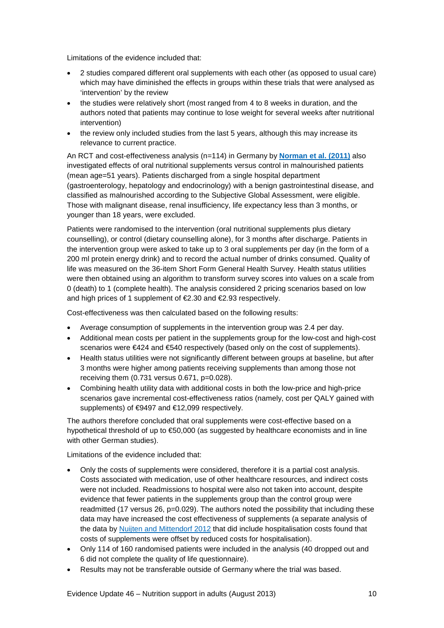Limitations of the evidence included that:

- 2 studies compared different oral supplements with each other (as opposed to usual care) which may have diminished the effects in groups within these trials that were analysed as 'intervention' by the review
- the studies were relatively short (most ranged from 4 to 8 weeks in duration, and the authors noted that patients may continue to lose weight for several weeks after nutritional intervention)
- the review only included studies from the last 5 years, although this may increase its relevance to current practice.

An RCT and cost-effectiveness analysis (n=114) in Germany by **[Norman et al. \(2011\)](http://www.ncbi.nlm.nih.gov/pubmed/21407248)** also investigated effects of oral nutritional supplements versus control in malnourished patients (mean age=51 years). Patients discharged from a single hospital department (gastroenterology, hepatology and endocrinology) with a benign gastrointestinal disease, and classified as malnourished according to the Subjective Global Assessment, were eligible. Those with malignant disease, renal insufficiency, life expectancy less than 3 months, or younger than 18 years, were excluded.

Patients were randomised to the intervention (oral nutritional supplements plus dietary counselling), or control (dietary counselling alone), for 3 months after discharge. Patients in the intervention group were asked to take up to 3 oral supplements per day (in the form of a 200 ml protein energy drink) and to record the actual number of drinks consumed. Quality of life was measured on the 36-item Short Form General Health Survey. Health status utilities were then obtained using an algorithm to transform survey scores into values on a scale from 0 (death) to 1 (complete health). The analysis considered 2 pricing scenarios based on low and high prices of 1 supplement of €2.30 and €2.93 respectively.

Cost-effectiveness was then calculated based on the following results:

- Average consumption of supplements in the intervention group was 2.4 per day.
- Additional mean costs per patient in the supplements group for the low-cost and high-cost scenarios were €424 and €540 respectively (based only on the cost of supplements).
- Health status utilities were not significantly different between groups at baseline, but after 3 months were higher among patients receiving supplements than among those not receiving them (0.731 versus 0.671, p=0.028).
- Combining health utility data with additional costs in both the low-price and high-price scenarios gave incremental cost-effectiveness ratios (namely, cost per QALY gained with supplements) of €9497 and €12,099 respectively.

The authors therefore concluded that oral supplements were cost-effective based on a hypothetical threshold of up to €50,000 (as suggested by healthcare economists and in line with other German studies).

Limitations of the evidence included that:

- Only the costs of supplements were considered, therefore it is a partial cost analysis. Costs associated with medication, use of other healthcare resources, and indirect costs were not included. Readmissions to hospital were also not taken into account, despite evidence that fewer patients in the supplements group than the control group were readmitted (17 versus 26,  $p=0.029$ ). The authors noted the possibility that including these data may have increased the cost effectiveness of supplements (a separate analysis of the data by [Nuijten and Mittendorf 2012](https://www.thieme-connect.de/DOI/DOI?10.1055/s-0032-1304940) that did include hospitalisation costs found that costs of supplements were offset by reduced costs for hospitalisation).
- Only 114 of 160 randomised patients were included in the analysis (40 dropped out and 6 did not complete the quality of life questionnaire).
- Results may not be transferable outside of Germany where the trial was based.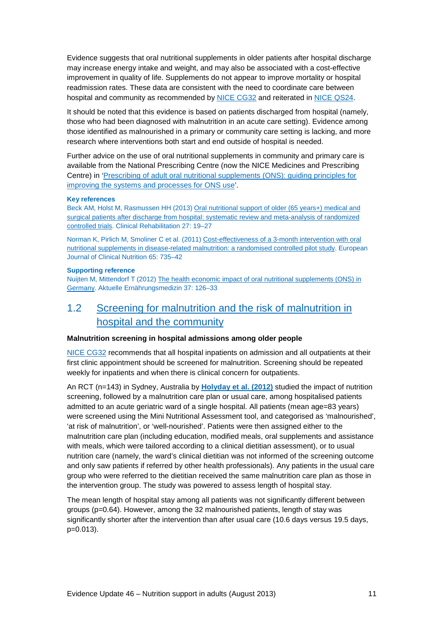Evidence suggests that oral nutritional supplements in older patients after hospital discharge may increase energy intake and weight, and may also be associated with a cost-effective improvement in quality of life. Supplements do not appear to improve mortality or hospital readmission rates. These data are consistent with the need to coordinate care between hospital and community as recommended by [NICE CG32](http://www.nice.org.uk/CG32) and reiterated in [NICE QS24.](http://www.nice.org.uk/guidance/QS24)

It should be noted that this evidence is based on patients discharged from hospital (namely, those who had been diagnosed with malnutrition in an acute care setting). Evidence among those identified as malnourished in a primary or community care setting is lacking, and more research where interventions both start and end outside of hospital is needed.

Further advice on the use of oral nutritional supplements in community and primary care is available from the National Prescribing Centre (now the NICE Medicines and Prescribing Centre) in ['Prescribing of adult oral nutritional supplements \(ONS\): guiding principles for](http://www.npc.nhs.uk/quality/ONS/)  [improving the systems and processes for ONS use'](http://www.npc.nhs.uk/quality/ONS/).

#### **Key references**

Beck AM, Holst M, Rasmussen HH (2013) [Oral nutritional support of older \(65 years+\) medical and](http://cre.sagepub.com/content/27/1/19.abstract)  [surgical patients after discharge from hospital: systematic review and meta-analysis of randomized](http://cre.sagepub.com/content/27/1/19.abstract)  [controlled trials.](http://cre.sagepub.com/content/27/1/19.abstract) Clinical Rehabilitation 27: 19–27

Norman K, Pirlich M, Smoliner C et al. (2011) [Cost-effectiveness of a 3-month intervention with oral](http://www.ncbi.nlm.nih.gov/pubmed/21407248)  [nutritional supplements in disease-related malnutrition: a randomised controlled pilot study.](http://www.ncbi.nlm.nih.gov/pubmed/21407248) European Journal of Clinical Nutrition 65: 735–42

#### **Supporting reference**

Nuijten M, Mittendorf T (2012) [The health economic impact of oral nutritional supplements \(ONS\) in](https://www.thieme-connect.de/DOI/DOI?10.1055/s-0032-1304940)  [Germany.](https://www.thieme-connect.de/DOI/DOI?10.1055/s-0032-1304940) Aktuelle Ernährungsmedizin 37: 126–33

### <span id="page-10-0"></span>1.2 [Screening for malnutrition and the risk of malnutrition in](http://publications.nice.org.uk/nutrition-support-in-adults-cg32/guidance#screening-for-malnutrition-and-the-risk-of-malnutrition-in-hospital-and-the-community)  [hospital and the community](http://publications.nice.org.uk/nutrition-support-in-adults-cg32/guidance#screening-for-malnutrition-and-the-risk-of-malnutrition-in-hospital-and-the-community)

#### **Malnutrition screening in hospital admissions among older people**

[NICE CG32](http://www.nice.org.uk/CG32) recommends that all hospital inpatients on admission and all outpatients at their first clinic appointment should be screened for malnutrition. Screening should be repeated weekly for inpatients and when there is clinical concern for outpatients.

An RCT (n=143) in Sydney, Australia by **[Holyday et al. \(2012\)](http://rd.springer.com/article/10.1007%2Fs12603-012-0022-3)** studied the impact of nutrition screening, followed by a malnutrition care plan or usual care, among hospitalised patients admitted to an acute geriatric ward of a single hospital. All patients (mean age=83 years) were screened using the Mini Nutritional Assessment tool, and categorised as 'malnourished', 'at risk of malnutrition', or 'well-nourished'. Patients were then assigned either to the malnutrition care plan (including education, modified meals, oral supplements and assistance with meals, which were tailored according to a clinical dietitian assessment), or to usual nutrition care (namely, the ward's clinical dietitian was not informed of the screening outcome and only saw patients if referred by other health professionals). Any patients in the usual care group who were referred to the dietitian received the same malnutrition care plan as those in the intervention group. The study was powered to assess length of hospital stay.

The mean length of hospital stay among all patients was not significantly different between groups (p=0.64). However, among the 32 malnourished patients, length of stay was significantly shorter after the intervention than after usual care (10.6 days versus 19.5 days, p=0.013).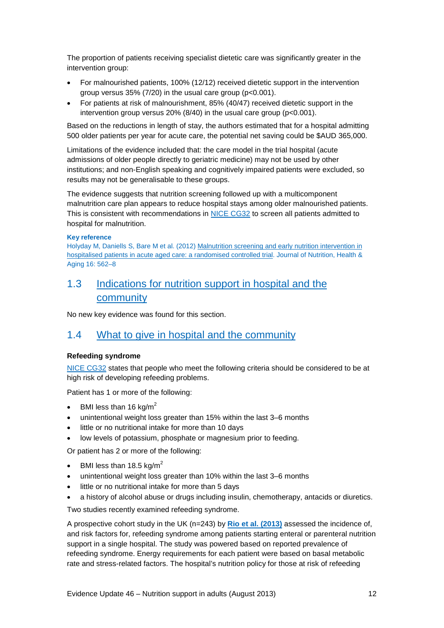The proportion of patients receiving specialist dietetic care was significantly greater in the intervention group:

- For malnourished patients, 100% (12/12) received dietetic support in the intervention group versus 35% (7/20) in the usual care group (p<0.001).
- For patients at risk of malnourishment, 85% (40/47) received dietetic support in the intervention group versus 20% (8/40) in the usual care group (p<0.001).

Based on the reductions in length of stay, the authors estimated that for a hospital admitting 500 older patients per year for acute care, the potential net saving could be \$AUD 365,000.

Limitations of the evidence included that: the care model in the trial hospital (acute admissions of older people directly to geriatric medicine) may not be used by other institutions; and non-English speaking and cognitively impaired patients were excluded, so results may not be generalisable to these groups.

The evidence suggests that nutrition screening followed up with a multicomponent malnutrition care plan appears to reduce hospital stays among older malnourished patients. This is consistent with recommendations in [NICE CG32](http://www.nice.org.uk/CG32) to screen all patients admitted to hospital for malnutrition.

### **Key reference**

Holyday M, Daniells S, Bare M et al. (2012) [Malnutrition screening and early nutrition intervention in](http://rd.springer.com/article/10.1007%2Fs12603-012-0022-3)  [hospitalised patients in acute aged care: a randomised controlled trial.](http://rd.springer.com/article/10.1007%2Fs12603-012-0022-3) Journal of Nutrition, Health & Aging 16: 562–8

### <span id="page-11-0"></span>1.3 [Indications for nutrition support in hospital and the](http://publications.nice.org.uk/nutrition-support-in-adults-cg32/guidance#indications-for-nutrition-support-in-hospital-and-the-community)  [community](http://publications.nice.org.uk/nutrition-support-in-adults-cg32/guidance#indications-for-nutrition-support-in-hospital-and-the-community)

No new key evidence was found for this section.

### <span id="page-11-1"></span>1.4 [What to give in hospital and the community](http://publications.nice.org.uk/nutrition-support-in-adults-cg32/guidance#what-to-give-in-hospital-and-the-community)

### **Refeeding syndrome**

[NICE CG32](http://www.nice.org.uk/CG32) states that people who meet the following criteria should be considered to be at high risk of developing refeeding problems.

Patient has 1 or more of the following:

- BMI less than 16 kg/m<sup>2</sup>
- unintentional weight loss greater than 15% within the last 3–6 months
- little or no nutritional intake for more than 10 days
- low levels of potassium, phosphate or magnesium prior to feeding.

Or patient has 2 or more of the following:

- BMI less than 18.5 kg/m<sup>2</sup>
- unintentional weight loss greater than 10% within the last 3–6 months
- little or no nutritional intake for more than 5 days
- a history of alcohol abuse or drugs including insulin, chemotherapy, antacids or diuretics.

Two studies recently examined refeeding syndrome.

A prospective cohort study in the UK (n=243) by **[Rio et al. \(2013\)](http://bmjopen.bmj.com/content/3/1/e002173.full)** assessed the incidence of, and risk factors for, refeeding syndrome among patients starting enteral or parenteral nutrition support in a single hospital. The study was powered based on reported prevalence of refeeding syndrome. Energy requirements for each patient were based on basal metabolic rate and stress-related factors. The hospital's nutrition policy for those at risk of refeeding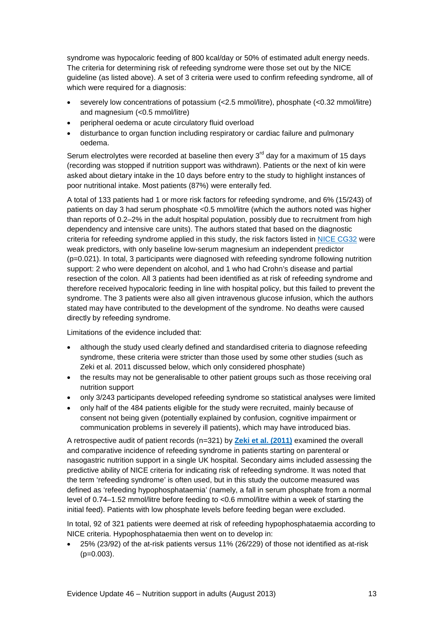syndrome was hypocaloric feeding of 800 kcal/day or 50% of estimated adult energy needs. The criteria for determining risk of refeeding syndrome were those set out by the NICE guideline (as listed above). A set of 3 criteria were used to confirm refeeding syndrome, all of which were required for a diagnosis:

- severely low concentrations of potassium (<2.5 mmol/litre), phosphate (<0.32 mmol/litre) and magnesium (<0.5 mmol/litre)
- peripheral oedema or acute circulatory fluid overload
- disturbance to organ function including respiratory or cardiac failure and pulmonary oedema.

Serum electrolytes were recorded at baseline then every  $3<sup>rd</sup>$  day for a maximum of 15 days (recording was stopped if nutrition support was withdrawn). Patients or the next of kin were asked about dietary intake in the 10 days before entry to the study to highlight instances of poor nutritional intake. Most patients (87%) were enterally fed.

A total of 133 patients had 1 or more risk factors for refeeding syndrome, and 6% (15/243) of patients on day 3 had serum phosphate <0.5 mmol/litre (which the authors noted was higher than reports of 0.2–2% in the adult hospital population, possibly due to recruitment from high dependency and intensive care units). The authors stated that based on the diagnostic criteria for refeeding syndrome applied in this study, the risk factors listed in [NICE CG32](http://www.nice.org.uk/CG32) were weak predictors, with only baseline low-serum magnesium an independent predictor (p=0.021). In total, 3 participants were diagnosed with refeeding syndrome following nutrition support: 2 who were dependent on alcohol, and 1 who had Crohn's disease and partial resection of the colon. All 3 patients had been identified as at risk of refeeding syndrome and therefore received hypocaloric feeding in line with hospital policy, but this failed to prevent the syndrome. The 3 patients were also all given intravenous glucose infusion, which the authors stated may have contributed to the development of the syndrome. No deaths were caused directly by refeeding syndrome.

Limitations of the evidence included that:

- although the study used clearly defined and standardised criteria to diagnose refeeding syndrome, these criteria were stricter than those used by some other studies (such as Zeki et al. 2011 discussed below, which only considered phosphate)
- the results may not be generalisable to other patient groups such as those receiving oral nutrition support
- only 3/243 participants developed refeeding syndrome so statistical analyses were limited
- only half of the 484 patients eligible for the study were recruited, mainly because of consent not being given (potentially explained by confusion, cognitive impairment or communication problems in severely ill patients), which may have introduced bias.

A retrospective audit of patient records (n=321) by **[Zeki et al. \(2011\)](http://www.clinicalnutritionjournal.com/article/S0261-5614(10)00213-X/fulltext)** examined the overall and comparative incidence of refeeding syndrome in patients starting on parenteral or nasogastric nutrition support in a single UK hospital. Secondary aims included assessing the predictive ability of NICE criteria for indicating risk of refeeding syndrome. It was noted that the term 'refeeding syndrome' is often used, but in this study the outcome measured was defined as 'refeeding hypophosphataemia' (namely, a fall in serum phosphate from a normal level of 0.74–1.52 mmol/litre before feeding to <0.6 mmol/litre within a week of starting the initial feed). Patients with low phosphate levels before feeding began were excluded.

In total, 92 of 321 patients were deemed at risk of refeeding hypophosphataemia according to NICE criteria. Hypophosphataemia then went on to develop in:

• 25% (23/92) of the at-risk patients versus 11% (26/229) of those not identified as at-risk  $(p=0.003)$ .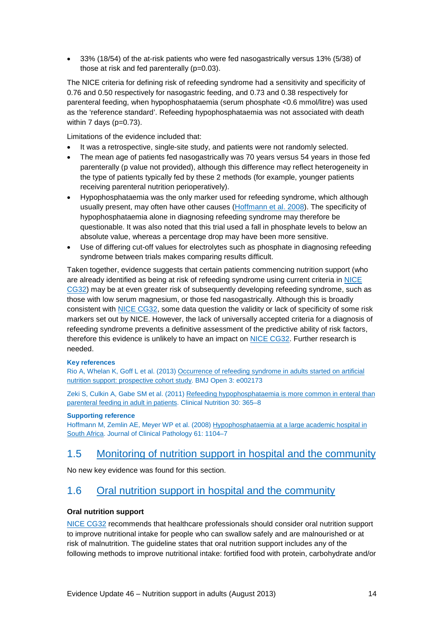• 33% (18/54) of the at-risk patients who were fed nasogastrically versus 13% (5/38) of those at risk and fed parenterally (p=0.03).

The NICE criteria for defining risk of refeeding syndrome had a sensitivity and specificity of 0.76 and 0.50 respectively for nasogastric feeding, and 0.73 and 0.38 respectively for parenteral feeding, when hypophosphataemia (serum phosphate <0.6 mmol/litre) was used as the 'reference standard'. Refeeding hypophosphataemia was not associated with death within  $7$  days ( $p=0.73$ ).

Limitations of the evidence included that:

- It was a retrospective, single-site study, and patients were not randomly selected.
- The mean age of patients fed nasogastrically was 70 years versus 54 years in those fed parenterally (p value not provided), although this difference may reflect heterogeneity in the type of patients typically fed by these 2 methods (for example, younger patients receiving parenteral nutrition perioperatively).
- Hypophosphataemia was the only marker used for refeeding syndrome, which although usually present, may often have other causes [\(Hoffmann et al. 2008\)](http://jcp.bmj.com/content/61/10/1104.abstract). The specificity of hypophosphataemia alone in diagnosing refeeding syndrome may therefore be questionable. It was also noted that this trial used a fall in phosphate levels to below an absolute value, whereas a percentage drop may have been more sensitive.
- Use of differing cut-off values for electrolytes such as phosphate in diagnosing refeeding syndrome between trials makes comparing results difficult.

Taken together, evidence suggests that certain patients commencing nutrition support (who are already identified as being at risk of refeeding syndrome using current criteria i[n NICE](http://www.nice.org.uk/CG32)  [CG32\)](http://www.nice.org.uk/CG32) may be at even greater risk of subsequently developing refeeding syndrome, such as those with low serum magnesium, or those fed nasogastrically. Although this is broadly consistent with [NICE CG32,](http://www.nice.org.uk/CG32) some data question the validity or lack of specificity of some risk markers set out by NICE. However, the lack of universally accepted criteria for a diagnosis of refeeding syndrome prevents a definitive assessment of the predictive ability of risk factors, therefore this evidence is unlikely to have an impact on [NICE CG32.](http://www.nice.org.uk/CG32) Further research is needed.

### **Key references**

Rio A, Whelan K, Goff L et al. (2013[\) Occurrence of refeeding syndrome in adults started on artificial](http://bmjopen.bmj.com/content/3/1/e002173.full)  [nutrition support: prospective cohort study.](http://bmjopen.bmj.com/content/3/1/e002173.full) BMJ Open 3: e002173

Zeki S, Culkin A, Gabe SM et al. (2011) [Refeeding hypophosphataemia is more common in enteral than](http://www.clinicalnutritionjournal.com/article/S0261-5614(10)00213-X/fulltext)  [parenteral feeding in adult in patients.](http://www.clinicalnutritionjournal.com/article/S0261-5614(10)00213-X/fulltext) Clinical Nutrition 30: 365–8

### **Supporting reference**

Hoffmann M, Zemlin AE, Meyer WP et al. (2008[\) Hypophosphataemia at a large academic hospital in](http://jcp.bmj.com/content/61/10/1104.abstract)  [South Africa.](http://jcp.bmj.com/content/61/10/1104.abstract) Journal of Clinical Pathology 61: 1104–7

### <span id="page-13-0"></span>1.5 [Monitoring of nutrition support in hospital and the community](http://publications.nice.org.uk/nutrition-support-in-adults-cg32/guidance#monitoring-of-nutrition-support-in-hospital-and-the-community)

No new key evidence was found for this section.

### <span id="page-13-1"></span>1.6 [Oral nutrition support in hospital and the community](http://publications.nice.org.uk/nutrition-support-in-adults-cg32/guidance#oral-nutrition-support-in-hospital-and-the-community)

### **Oral nutrition support**

[NICE CG32](http://www.nice.org.uk/CG32) recommends that healthcare professionals should consider oral nutrition support to improve nutritional intake for people who can swallow safely and are malnourished or at risk of malnutrition. The guideline states that oral nutrition support includes any of the following methods to improve nutritional intake: fortified food with protein, carbohydrate and/or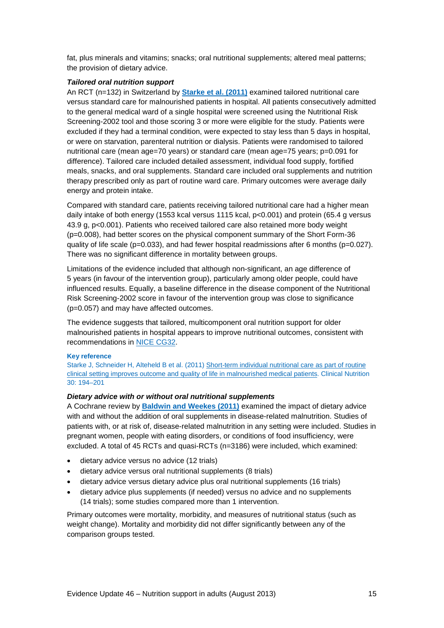fat, plus minerals and vitamins; snacks; oral nutritional supplements; altered meal patterns; the provision of dietary advice.

### *Tailored oral nutrition support*

An RCT (n=132) in Switzerland by **[Starke et al. \(2011\)](http://www.clinicalnutritionjournal.com/article/S0261-5614%2810%2900152-4/abstract)** examined tailored nutritional care versus standard care for malnourished patients in hospital. All patients consecutively admitted to the general medical ward of a single hospital were screened using the Nutritional Risk Screening-2002 tool and those scoring 3 or more were eligible for the study. Patients were excluded if they had a terminal condition, were expected to stay less than 5 days in hospital, or were on starvation, parenteral nutrition or dialysis. Patients were randomised to tailored nutritional care (mean age=70 years) or standard care (mean age=75 years; p=0.091 for difference). Tailored care included detailed assessment, individual food supply, fortified meals, snacks, and oral supplements. Standard care included oral supplements and nutrition therapy prescribed only as part of routine ward care. Primary outcomes were average daily energy and protein intake.

Compared with standard care, patients receiving tailored nutritional care had a higher mean daily intake of both energy (1553 kcal versus 1115 kcal, p<0.001) and protein (65.4 g versus 43.9 g, p<0.001). Patients who received tailored care also retained more body weight (p=0.008), had better scores on the physical component summary of the Short Form-36 quality of life scale ( $p=0.033$ ), and had fewer hospital readmissions after 6 months ( $p=0.027$ ). There was no significant difference in mortality between groups.

Limitations of the evidence included that although non-significant, an age difference of 5 years (in favour of the intervention group), particularly among older people, could have influenced results. Equally, a baseline difference in the disease component of the Nutritional Risk Screening-2002 score in favour of the intervention group was close to significance (p=0.057) and may have affected outcomes.

The evidence suggests that tailored, multicomponent oral nutrition support for older malnourished patients in hospital appears to improve nutritional outcomes, consistent with recommendations in [NICE CG32.](http://www.nice.org.uk/CG32)

#### **Key reference**

Starke J, Schneider H, Alteheld B et al. (2011) [Short-term individual nutritional care as part of routine](http://www.clinicalnutritionjournal.com/article/S0261-5614%2810%2900152-4/abstract)  [clinical setting improves outcome and quality of life in malnourished medical patients.](http://www.clinicalnutritionjournal.com/article/S0261-5614%2810%2900152-4/abstract) Clinical Nutrition 30: 194–201

### *Dietary advice with or without oral nutritional supplements*

A Cochrane review by **[Baldwin and Weekes \(2011\)](http://onlinelibrary.wiley.com/doi/10.1002/14651858.CD002008.pub4/abstract)** examined the impact of dietary advice with and without the addition of oral supplements in disease-related malnutrition. Studies of patients with, or at risk of, disease-related malnutrition in any setting were included. Studies in pregnant women, people with eating disorders, or conditions of food insufficiency, were excluded. A total of 45 RCTs and quasi-RCTs (n=3186) were included, which examined:

- dietary advice versus no advice (12 trials)
- dietary advice versus oral nutritional supplements (8 trials)
- dietary advice versus dietary advice plus oral nutritional supplements (16 trials)
- dietary advice plus supplements (if needed) versus no advice and no supplements (14 trials); some studies compared more than 1 intervention.

Primary outcomes were mortality, morbidity, and measures of nutritional status (such as weight change). Mortality and morbidity did not differ significantly between any of the comparison groups tested.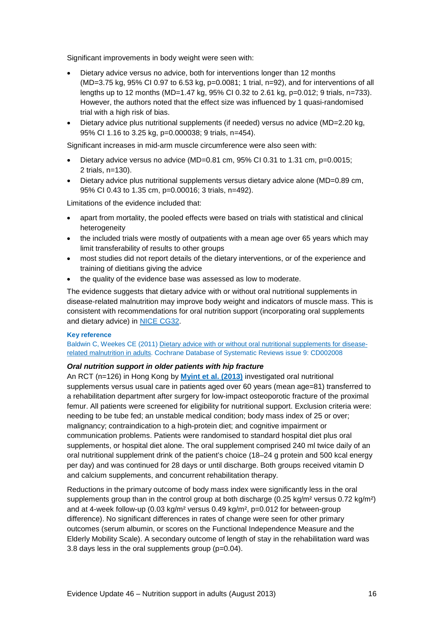Significant improvements in body weight were seen with:

- Dietary advice versus no advice, both for interventions longer than 12 months  $(MD=3.75$  kg, 95% CI 0.97 to 6.53 kg,  $p=0.0081$ ; 1 trial,  $n=92$ ), and for interventions of all lengths up to 12 months (MD=1.47 kg, 95% CI 0.32 to 2.61 kg, p=0.012; 9 trials, n=733). However, the authors noted that the effect size was influenced by 1 quasi-randomised trial with a high risk of bias.
- Dietary advice plus nutritional supplements (if needed) versus no advice (MD=2.20 kg, 95% CI 1.16 to 3.25 kg, p=0.000038; 9 trials, n=454).

Significant increases in mid-arm muscle circumference were also seen with:

- Dietary advice versus no advice (MD=0.81 cm, 95% CI 0.31 to 1.31 cm,  $p=0.0015$ ; 2 trials, n=130).
- Dietary advice plus nutritional supplements versus dietary advice alone (MD=0.89 cm, 95% CI 0.43 to 1.35 cm, p=0.00016; 3 trials, n=492).

Limitations of the evidence included that:

- apart from mortality, the pooled effects were based on trials with statistical and clinical heterogeneity
- the included trials were mostly of outpatients with a mean age over 65 years which may limit transferability of results to other groups
- most studies did not report details of the dietary interventions, or of the experience and training of dietitians giving the advice
- the quality of the evidence base was assessed as low to moderate.

The evidence suggests that dietary advice with or without oral nutritional supplements in disease-related malnutrition may improve body weight and indicators of muscle mass. This is consistent with recommendations for oral nutrition support (incorporating oral supplements and dietary advice) in [NICE CG32.](http://www.nice.org.uk/CG32)

### **Key reference**

Baldwin C, Weekes CE (2011) [Dietary advice with or without oral nutritional supplements for disease](http://onlinelibrary.wiley.com/doi/10.1002/14651858.CD002008.pub4/abstract)[related malnutrition](http://onlinelibrary.wiley.com/doi/10.1002/14651858.CD002008.pub4/abstract) in adults. Cochrane Database of Systematic Reviews issue 9: CD002008

### *Oral nutrition support in older patients with hip fracture*

An RCT (n=126) in Hong Kong by **[Myint et al. \(2013\)](http://ageing.oxfordjournals.org/content/42/1/39.abstract)** investigated oral nutritional supplements versus usual care in patients aged over 60 years (mean age=81) transferred to a rehabilitation department after surgery for low-impact osteoporotic fracture of the proximal femur. All patients were screened for eligibility for nutritional support. Exclusion criteria were: needing to be tube fed; an unstable medical condition; body mass index of 25 or over; malignancy; contraindication to a high-protein diet; and cognitive impairment or communication problems. Patients were randomised to standard hospital diet plus oral supplements, or hospital diet alone. The oral supplement comprised 240 ml twice daily of an oral nutritional supplement drink of the patient's choice (18–24 g protein and 500 kcal energy per day) and was continued for 28 days or until discharge. Both groups received vitamin D and calcium supplements, and concurrent rehabilitation therapy.

Reductions in the primary outcome of body mass index were significantly less in the oral supplements group than in the control group at both discharge  $(0.25 \text{ kg/m}^2 \text{ versus } 0.72 \text{ kg/m}^2)$ and at 4-week follow-up (0.03 kg/m² versus 0.49 kg/m², p=0.012 for between-group difference). No significant differences in rates of change were seen for other primary outcomes (serum albumin, or scores on the Functional Independence Measure and the Elderly Mobility Scale). A secondary outcome of length of stay in the rehabilitation ward was 3.8 days less in the oral supplements group (p=0.04).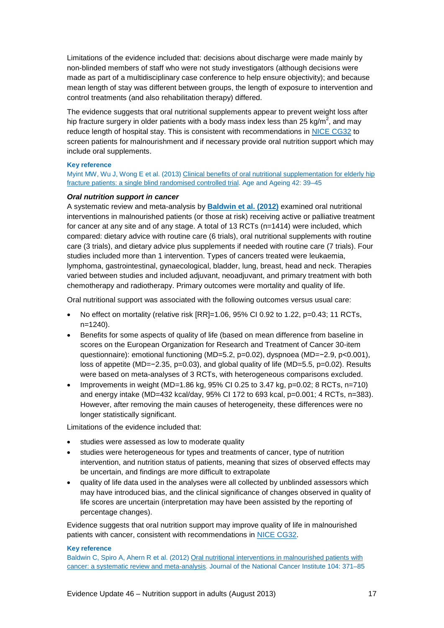Limitations of the evidence included that: decisions about discharge were made mainly by non-blinded members of staff who were not study investigators (although decisions were made as part of a multidisciplinary case conference to help ensure objectivity); and because mean length of stay was different between groups, the length of exposure to intervention and control treatments (and also rehabilitation therapy) differed.

The evidence suggests that oral nutritional supplements appear to prevent weight loss after hip fracture surgery in older patients with a body mass index less than 25 kg/m<sup>2</sup>, and may reduce length of hospital stay. This is consistent with recommendations in [NICE CG32](http://www.nice.org.uk/CG32) to screen patients for malnourishment and if necessary provide oral nutrition support which may include oral supplements.

#### **Key reference**

Myint MW, Wu J, Wong E et al. (2013) [Clinical benefits of oral nutritional supplementation for elderly hip](http://ageing.oxfordjournals.org/content/42/1/39.abstract)  [fracture patients: a single blind randomised controlled trial.](http://ageing.oxfordjournals.org/content/42/1/39.abstract) Age and Ageing 42: 39–45

### *Oral nutrition support in cancer*

A systematic review and meta-analysis by **[Baldwin et al. \(2012\)](http://jnci.oxfordjournals.org/content/104/5/371.full)** examined oral nutritional interventions in malnourished patients (or those at risk) receiving active or palliative treatment for cancer at any site and of any stage. A total of 13 RCTs (n=1414) were included, which compared: dietary advice with routine care (6 trials), oral nutritional supplements with routine care (3 trials), and dietary advice plus supplements if needed with routine care (7 trials). Four studies included more than 1 intervention. Types of cancers treated were leukaemia, lymphoma, gastrointestinal, gynaecological, bladder, lung, breast, head and neck. Therapies varied between studies and included adjuvant, neoadjuvant, and primary treatment with both chemotherapy and radiotherapy. Primary outcomes were mortality and quality of life.

Oral nutritional support was associated with the following outcomes versus usual care:

- No effect on mortality (relative risk [RR]=1.06, 95% CI 0.92 to 1.22, p=0.43; 11 RCTs, n=1240).
- Benefits for some aspects of quality of life (based on mean difference from baseline in scores on the European Organization for Research and Treatment of Cancer 30-item questionnaire): emotional functioning (MD=5.2, p=0.02), dyspnoea (MD=−2.9, p<0.001), loss of appetite (MD=−2.35, p=0.03), and global quality of life (MD=5.5, p=0.02). Results were based on meta-analyses of 3 RCTs, with heterogeneous comparisons excluded.
- Improvements in weight (MD=1.86 kg, 95% CI 0.25 to 3.47 kg, p=0.02; 8 RCTs, n=710) and energy intake (MD=432 kcal/day, 95% CI 172 to 693 kcal, p=0.001; 4 RCTs, n=383). However, after removing the main causes of heterogeneity, these differences were no longer statistically significant.

Limitations of the evidence included that:

- studies were assessed as low to moderate quality
- studies were heterogeneous for types and treatments of cancer, type of nutrition intervention, and nutrition status of patients, meaning that sizes of observed effects may be uncertain, and findings are more difficult to extrapolate
- quality of life data used in the analyses were all collected by unblinded assessors which may have introduced bias, and the clinical significance of changes observed in quality of life scores are uncertain (interpretation may have been assisted by the reporting of percentage changes).

Evidence suggests that oral nutrition support may improve quality of life in malnourished patients with cancer, consistent with recommendations in [NICE CG32.](http://www.nice.org.uk/CG32)

#### **Key reference**

Baldwin C, Spiro A, Ahern R et al. (2012) [Oral nutritional interventions in malnourished patients with](http://jnci.oxfordjournals.org/content/104/5/371.full)  [cancer: a systematic review and meta-analysis.](http://jnci.oxfordjournals.org/content/104/5/371.full) Journal of the National Cancer Institute 104: 371–85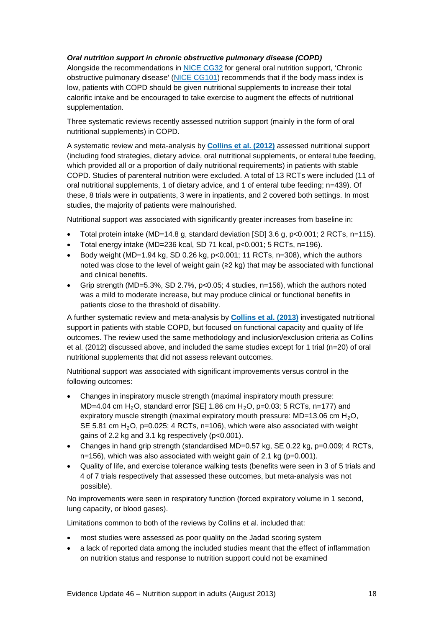### *Oral nutrition support in chronic obstructive pulmonary disease (COPD)*

Alongside the recommendations in [NICE CG32](http://www.nice.org.uk/CG32) for general oral nutrition support, 'Chronic obstructive pulmonary disease' [\(NICE CG101\)](http://www.nice.org.uk/guidance/CG101) recommends that if the body mass index is low, patients with COPD should be given nutritional supplements to increase their total calorific intake and be encouraged to take exercise to augment the effects of nutritional supplementation.

Three systematic reviews recently assessed nutrition support (mainly in the form of oral nutritional supplements) in COPD.

A systematic review and meta-analysis by **[Collins et al. \(2012\)](http://ajcn.nutrition.org/content/95/6/1385.abstract)** assessed nutritional support (including food strategies, dietary advice, oral nutritional supplements, or enteral tube feeding, which provided all or a proportion of daily nutritional requirements) in patients with stable COPD. Studies of parenteral nutrition were excluded. A total of 13 RCTs were included (11 of oral nutritional supplements, 1 of dietary advice, and 1 of enteral tube feeding; n=439). Of these, 8 trials were in outpatients, 3 were in inpatients, and 2 covered both settings. In most studies, the majority of patients were malnourished.

Nutritional support was associated with significantly greater increases from baseline in:

- Total protein intake (MD=14.8 g, standard deviation [SD] 3.6 g, p<0.001; 2 RCTs, n=115).
- Total energy intake (MD=236 kcal, SD 71 kcal, p<0.001; 5 RCTs, n=196).
- Body weight (MD=1.94 kg, SD 0.26 kg,  $p<0.001$ ; 11 RCTs, n=308), which the authors noted was close to the level of weight gain (≥2 kg) that may be associated with functional and clinical benefits.
- Grip strength (MD=5.3%, SD 2.7%,  $p<0.05$ : 4 studies,  $n=156$ ), which the authors noted was a mild to moderate increase, but may produce clinical or functional benefits in patients close to the threshold of disability.

A further systematic review and meta-analysis by **[Collins et al. \(2013\)](http://onlinelibrary.wiley.com/doi/10.1111/resp.12070/full)** investigated nutritional support in patients with stable COPD, but focused on functional capacity and quality of life outcomes. The review used the same methodology and inclusion/exclusion criteria as Collins et al. (2012) discussed above, and included the same studies except for 1 trial (n=20) of oral nutritional supplements that did not assess relevant outcomes.

Nutritional support was associated with significant improvements versus control in the following outcomes:

- Changes in inspiratory muscle strength (maximal inspiratory mouth pressure: MD=4.04 cm H<sub>2</sub>O, standard error [SE] 1.86 cm H<sub>2</sub>O, p=0.03; 5 RCTs, n=177) and expiratory muscle strength (maximal expiratory mouth pressure:  $MD=13.06$  cm  $H_2O$ , SE 5.81 cm  $H_2O$ , p=0.025; 4 RCTs, n=106), which were also associated with weight gains of 2.2 kg and 3.1 kg respectively (p<0.001).
- Changes in hand grip strength (standardised  $MD=0.57$  kg,  $SE$  0.22 kg,  $p=0.009$ ; 4 RCTs, n=156), which was also associated with weight gain of 2.1 kg (p=0.001).
- Quality of life, and exercise tolerance walking tests (benefits were seen in 3 of 5 trials and 4 of 7 trials respectively that assessed these outcomes, but meta-analysis was not possible).

No improvements were seen in respiratory function (forced expiratory volume in 1 second, lung capacity, or blood gases).

Limitations common to both of the reviews by Collins et al. included that:

- most studies were assessed as poor quality on the Jadad scoring system
- a lack of reported data among the included studies meant that the effect of inflammation on nutrition status and response to nutrition support could not be examined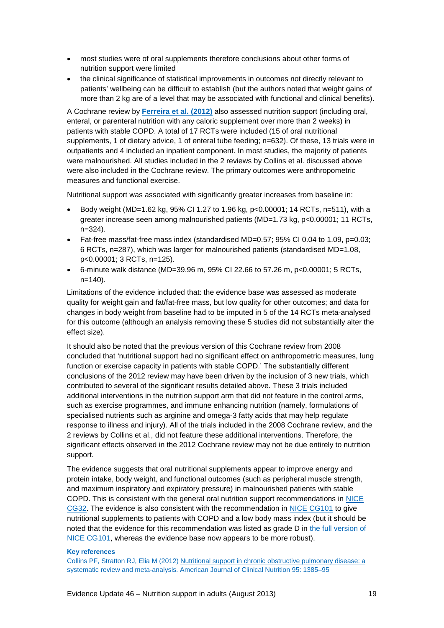- most studies were of oral supplements therefore conclusions about other forms of nutrition support were limited
- the clinical significance of statistical improvements in outcomes not directly relevant to patients' wellbeing can be difficult to establish (but the authors noted that weight gains of more than 2 kg are of a level that may be associated with functional and clinical benefits).

A Cochrane review by **[Ferreira et al. \(2012\)](http://onlinelibrary.wiley.com/doi/10.1002/14651858.CD000998.pub3/abstract)** also assessed nutrition support (including oral, enteral, or parenteral nutrition with any caloric supplement over more than 2 weeks) in patients with stable COPD. A total of 17 RCTs were included (15 of oral nutritional supplements, 1 of dietary advice, 1 of enteral tube feeding; n=632). Of these, 13 trials were in outpatients and 4 included an inpatient component. In most studies, the majority of patients were malnourished. All studies included in the 2 reviews by Collins et al. discussed above were also included in the Cochrane review. The primary outcomes were anthropometric measures and functional exercise.

Nutritional support was associated with significantly greater increases from baseline in:

- Body weight (MD=1.62 kg, 95% CI 1.27 to 1.96 kg,  $p<0.00001$ ; 14 RCTs,  $p=511$ ), with a greater increase seen among malnourished patients (MD=1.73 kg, p<0.00001; 11 RCTs, n=324).
- Fat-free mass/fat-free mass index (standardised MD=0.57; 95% CI 0.04 to 1.09, p=0.03; 6 RCTs, n=287), which was larger for malnourished patients (standardised MD=1.08, p<0.00001; 3 RCTs, n=125).
- 6-minute walk distance (MD=39.96 m, 95% CI 22.66 to 57.26 m, p<0.00001; 5 RCTs, n=140).

Limitations of the evidence included that: the evidence base was assessed as moderate quality for weight gain and fat/fat-free mass, but low quality for other outcomes; and data for changes in body weight from baseline had to be imputed in 5 of the 14 RCTs meta-analysed for this outcome (although an analysis removing these 5 studies did not substantially alter the effect size).

It should also be noted that the previous version of this Cochrane review from 2008 concluded that 'nutritional support had no significant effect on anthropometric measures, lung function or exercise capacity in patients with stable COPD.' The substantially different conclusions of the 2012 review may have been driven by the inclusion of 3 new trials, which contributed to several of the significant results detailed above. These 3 trials included additional interventions in the nutrition support arm that did not feature in the control arms, such as exercise programmes, and immune enhancing nutrition (namely, formulations of specialised nutrients such as arginine and omega-3 fatty acids that may help regulate response to illness and injury). All of the trials included in the 2008 Cochrane review, and the 2 reviews by Collins et al., did not feature these additional interventions. Therefore, the significant effects observed in the 2012 Cochrane review may not be due entirely to nutrition support.

The evidence suggests that oral nutritional supplements appear to improve energy and protein intake, body weight, and functional outcomes (such as peripheral muscle strength, and maximum inspiratory and expiratory pressure) in malnourished patients with stable COPD. This is consistent with the general oral nutrition support recommendations in [NICE](http://www.nice.org.uk/CG32)  [CG32.](http://www.nice.org.uk/CG32) The evidence is also consistent with the recommendation in [NICE CG101](http://www.nice.org.uk/guidance/CG101) to give nutritional supplements to patients with COPD and a low body mass index (but it should be noted that the evidence for this recommendation was listed as grade D in [the full version of](http://guidance.nice.org.uk/CG101/Guidance/pdf/English)  [NICE CG101,](http://guidance.nice.org.uk/CG101/Guidance/pdf/English) whereas the evidence base now appears to be more robust).

### **Key references**

Collins PF, Stratton RJ, Elia M (2012) [Nutritional support in chronic obstructive pulmonary disease: a](http://ajcn.nutrition.org/content/95/6/1385.abstract)  [systematic review and meta-analysis.](http://ajcn.nutrition.org/content/95/6/1385.abstract) American Journal of Clinical Nutrition 95: 1385–95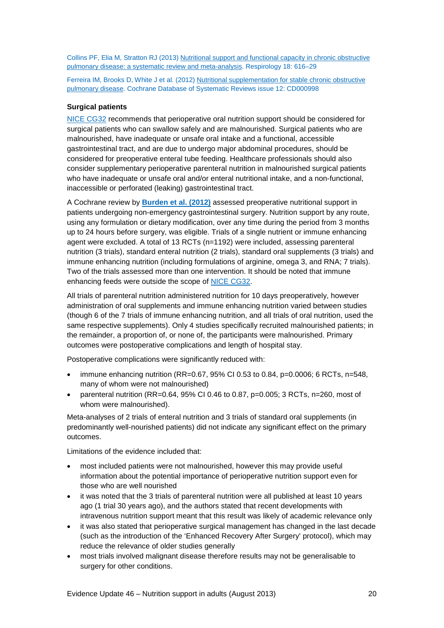Collins PF, Elia M, Stratton RJ (2013) Nutritional support and [functional capacity in chronic obstructive](http://onlinelibrary.wiley.com/doi/10.1111/resp.12070/full)  [pulmonary disease: a systematic review and meta-analysis.](http://onlinelibrary.wiley.com/doi/10.1111/resp.12070/full) Respirology 18: 616–29

Ferreira IM, Brooks D, White J et al. (2012) [Nutritional supplementation for stable chronic obstructive](http://onlinelibrary.wiley.com/doi/10.1002/14651858.CD000998.pub3/abstract)  [pulmonary disease.](http://onlinelibrary.wiley.com/doi/10.1002/14651858.CD000998.pub3/abstract) Cochrane Database of Systematic Reviews issue 12: CD000998

### **Surgical patients**

[NICE CG32](http://www.nice.org.uk/CG32) recommends that perioperative oral nutrition support should be considered for surgical patients who can swallow safely and are malnourished. Surgical patients who are malnourished, have inadequate or unsafe oral intake and a functional, accessible gastrointestinal tract, and are due to undergo major abdominal procedures, should be considered for preoperative enteral tube feeding. Healthcare professionals should also consider supplementary perioperative parenteral nutrition in malnourished surgical patients who have inadequate or unsafe oral and/or enteral nutritional intake, and a non-functional, inaccessible or perforated (leaking) gastrointestinal tract.

A Cochrane review by **[Burden et al. \(2012\)](http://onlinelibrary.wiley.com/doi/10.1002/14651858.CD008879.pub2/abstract)** assessed preoperative nutritional support in patients undergoing non-emergency gastrointestinal surgery. Nutrition support by any route, using any formulation or dietary modification, over any time during the period from 3 months up to 24 hours before surgery, was eligible. Trials of a single nutrient or immune enhancing agent were excluded. A total of 13 RCTs (n=1192) were included, assessing parenteral nutrition (3 trials), standard enteral nutrition (2 trials), standard oral supplements (3 trials) and immune enhancing nutrition (including formulations of arginine, omega 3, and RNA; 7 trials). Two of the trials assessed more than one intervention. It should be noted that immune enhancing feeds were outside the scope of [NICE CG32.](http://www.nice.org.uk/CG32)

All trials of parenteral nutrition administered nutrition for 10 days preoperatively, however administration of oral supplements and immune enhancing nutrition varied between studies (though 6 of the 7 trials of immune enhancing nutrition, and all trials of oral nutrition, used the same respective supplements). Only 4 studies specifically recruited malnourished patients; in the remainder, a proportion of, or none of, the participants were malnourished. Primary outcomes were postoperative complications and length of hospital stay.

Postoperative complications were significantly reduced with:

- immune enhancing nutrition (RR=0.67, 95% CI 0.53 to 0.84, p=0.0006; 6 RCTs, n=548, many of whom were not malnourished)
- parenteral nutrition (RR=0.64, 95% CI 0.46 to 0.87, p=0.005; 3 RCTs, n=260, most of whom were malnourished).

Meta-analyses of 2 trials of enteral nutrition and 3 trials of standard oral supplements (in predominantly well-nourished patients) did not indicate any significant effect on the primary outcomes.

Limitations of the evidence included that:

- most included patients were not malnourished, however this may provide useful information about the potential importance of perioperative nutrition support even for those who are well nourished
- it was noted that the 3 trials of parenteral nutrition were all published at least 10 years ago (1 trial 30 years ago), and the authors stated that recent developments with intravenous nutrition support meant that this result was likely of academic relevance only
- it was also stated that perioperative surgical management has changed in the last decade (such as the introduction of the 'Enhanced Recovery After Surgery' protocol), which may reduce the relevance of older studies generally
- most trials involved malignant disease therefore results may not be generalisable to surgery for other conditions.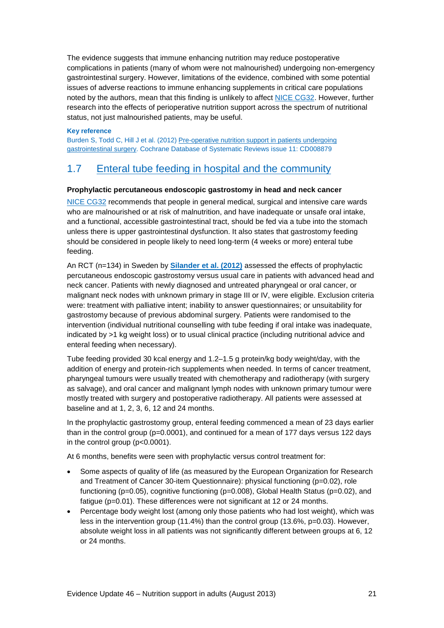The evidence suggests that immune enhancing nutrition may reduce postoperative complications in patients (many of whom were not malnourished) undergoing non-emergency gastrointestinal surgery. However, limitations of the evidence, combined with some potential issues of adverse reactions to immune enhancing supplements in critical care populations noted by the authors, mean that this finding is unlikely to affect [NICE CG32.](http://www.nice.org.uk/CG32) However, further research into the effects of perioperative nutrition support across the spectrum of nutritional status, not just malnourished patients, may be useful.

#### **Key reference**

Burden S, Todd C, Hill J et al. (2012[\) Pre-operative nutrition support in patients undergoing](http://onlinelibrary.wiley.com/doi/10.1002/14651858.CD008879.pub2/abstract)  [gastrointestinal surgery.](http://onlinelibrary.wiley.com/doi/10.1002/14651858.CD008879.pub2/abstract) Cochrane Database of Systematic Reviews issue 11: CD008879

### <span id="page-20-0"></span>1.7 [Enteral tube feeding in hospital and the community](http://publications.nice.org.uk/nutrition-support-in-adults-cg32/guidance#enteral-tube-feeding-in-hospital-and-the-community)

### **Prophylactic percutaneous endoscopic gastrostomy in head and neck cancer**

[NICE CG32](http://www.nice.org.uk/CG32) recommends that people in general medical, surgical and intensive care wards who are malnourished or at risk of malnutrition, and have inadequate or unsafe oral intake, and a functional, accessible gastrointestinal tract, should be fed via a tube into the stomach unless there is upper gastrointestinal dysfunction. It also states that gastrostomy feeding should be considered in people likely to need long-term (4 weeks or more) enteral tube feeding.

An RCT (n=134) in Sweden by **[Silander et al. \(2012\)](http://onlinelibrary.wiley.com/doi/10.1002/hed.21700/full)** assessed the effects of prophylactic percutaneous endoscopic gastrostomy versus usual care in patients with advanced head and neck cancer. Patients with newly diagnosed and untreated pharyngeal or oral cancer, or malignant neck nodes with unknown primary in stage III or IV, were eligible. Exclusion criteria were: treatment with palliative intent; inability to answer questionnaires; or unsuitability for gastrostomy because of previous abdominal surgery. Patients were randomised to the intervention (individual nutritional counselling with tube feeding if oral intake was inadequate, indicated by >1 kg weight loss) or to usual clinical practice (including nutritional advice and enteral feeding when necessary).

Tube feeding provided 30 kcal energy and 1.2–1.5 g protein/kg body weight/day, with the addition of energy and protein-rich supplements when needed. In terms of cancer treatment, pharyngeal tumours were usually treated with chemotherapy and radiotherapy (with surgery as salvage), and oral cancer and malignant lymph nodes with unknown primary tumour were mostly treated with surgery and postoperative radiotherapy. All patients were assessed at baseline and at 1, 2, 3, 6, 12 and 24 months.

In the prophylactic gastrostomy group, enteral feeding commenced a mean of 23 days earlier than in the control group ( $p=0.0001$ ), and continued for a mean of 177 days versus 122 days in the control group (p<0.0001).

At 6 months, benefits were seen with prophylactic versus control treatment for:

- Some aspects of quality of life (as measured by the European Organization for Research and Treatment of Cancer 30-item Questionnaire): physical functioning (p=0.02), role functioning (p=0.05), cognitive functioning (p=0.008), Global Health Status (p=0.02), and fatigue (p=0.01). These differences were not significant at 12 or 24 months.
- Percentage body weight lost (among only those patients who had lost weight), which was less in the intervention group (11.4%) than the control group (13.6%, p=0.03). However, absolute weight loss in all patients was not significantly different between groups at 6, 12 or 24 months.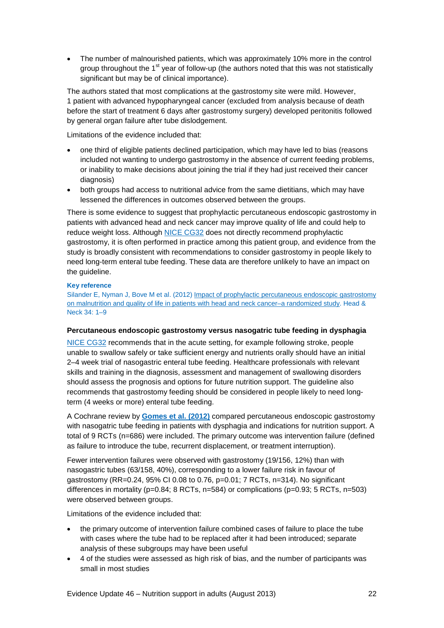• The number of malnourished patients, which was approximately 10% more in the control group throughout the 1<sup>st</sup> year of follow-up (the authors noted that this was not statistically significant but may be of clinical importance).

The authors stated that most complications at the gastrostomy site were mild. However, 1 patient with advanced hypopharyngeal cancer (excluded from analysis because of death before the start of treatment 6 days after gastrostomy surgery) developed peritonitis followed by general organ failure after tube dislodgement.

Limitations of the evidence included that:

- one third of eligible patients declined participation, which may have led to bias (reasons included not wanting to undergo gastrostomy in the absence of current feeding problems, or inability to make decisions about joining the trial if they had just received their cancer diagnosis)
- both groups had access to nutritional advice from the same dietitians, which may have lessened the differences in outcomes observed between the groups.

There is some evidence to suggest that prophylactic percutaneous endoscopic gastrostomy in patients with advanced head and neck cancer may improve quality of life and could help to reduce weight loss. Although [NICE CG32](http://www.nice.org.uk/CG32) does not directly recommend prophylactic gastrostomy, it is often performed in practice among this patient group, and evidence from the study is broadly consistent with recommendations to consider gastrostomy in people likely to need long-term enteral tube feeding. These data are therefore unlikely to have an impact on the guideline.

### **Key reference**

Silander E, Nyman J, Bove M et al. (2012) Impact of prophylactic percutaneous endoscopic gastrostomy [on malnutrition and quality of life in patients with head and neck cancer–a randomized study.](http://onlinelibrary.wiley.com/doi/10.1002/hed.21700/full) Head & Neck 34: 1–9

### **Percutaneous endoscopic gastrostomy versus nasogatric tube feeding in dysphagia**

[NICE CG32](http://www.nice.org.uk/CG32) recommends that in the acute setting, for example following stroke, people unable to swallow safely or take sufficient energy and nutrients orally should have an initial 2–4 week trial of nasogastric enteral tube feeding. Healthcare professionals with relevant skills and training in the diagnosis, assessment and management of swallowing disorders should assess the prognosis and options for future nutrition support. The guideline also recommends that gastrostomy feeding should be considered in people likely to need longterm (4 weeks or more) enteral tube feeding.

A Cochrane review by **[Gomes et al. \(2012\)](http://onlinelibrary.wiley.com/doi/10.1002/14651858.CD008096.pub3/abstract)** compared percutaneous endoscopic gastrostomy with nasogatric tube feeding in patients with dysphagia and indications for nutrition support. A total of 9 RCTs (n=686) were included. The primary outcome was intervention failure (defined as failure to introduce the tube, recurrent displacement, or treatment interruption).

Fewer intervention failures were observed with gastrostomy (19/156, 12%) than with nasogastric tubes (63/158, 40%), corresponding to a lower failure risk in favour of gastrostomy (RR=0.24, 95% CI 0.08 to 0.76, p=0.01; 7 RCTs, n=314). No significant differences in mortality (p=0.84; 8 RCTs, n=584) or complications (p=0.93; 5 RCTs, n=503) were observed between groups.

Limitations of the evidence included that:

- the primary outcome of intervention failure combined cases of failure to place the tube with cases where the tube had to be replaced after it had been introduced; separate analysis of these subgroups may have been useful
- 4 of the studies were assessed as high risk of bias, and the number of participants was small in most studies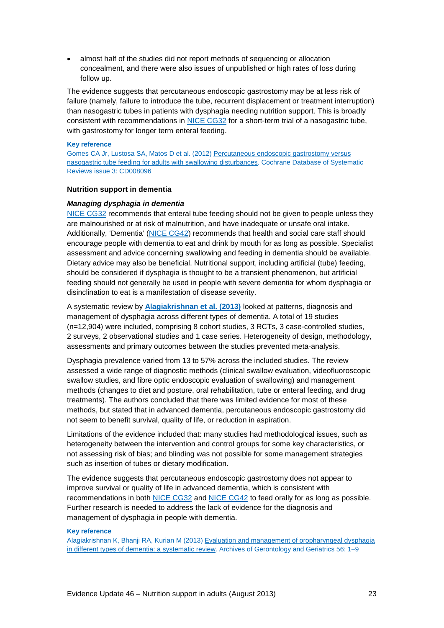• almost half of the studies did not report methods of sequencing or allocation concealment, and there were also issues of unpublished or high rates of loss during follow up.

The evidence suggests that percutaneous endoscopic gastrostomy may be at less risk of failure (namely, failure to introduce the tube, recurrent displacement or treatment interruption) than nasogastric tubes in patients with dysphagia needing nutrition support. This is broadly consistent with recommendations in [NICE CG32](http://www.nice.org.uk/CG32) for a short-term trial of a nasogastric tube, with gastrostomy for longer term enteral feeding.

#### **Key reference**

Gomes CA Jr, Lustosa SA, Matos D et al. (2012[\) Percutaneous endoscopic gastrostomy versus](http://onlinelibrary.wiley.com/doi/10.1002/14651858.CD008096.pub3/abstract)  [nasogastric tube feeding for adults with swallowing disturbances.](http://onlinelibrary.wiley.com/doi/10.1002/14651858.CD008096.pub3/abstract) Cochrane Database of Systematic Reviews issue 3: CD008096

### **Nutrition support in dementia**

#### *Managing dysphagia in dementia*

[NICE CG32](http://www.nice.org.uk/CG32) recommends that enteral tube feeding should not be given to people unless they are malnourished or at risk of malnutrition, and have inadequate or unsafe oral intake. Additionally, 'Dementia' [\(NICE CG42\)](http://www.nice.org.uk/CG42) recommends that health and social care staff should encourage people with dementia to eat and drink by mouth for as long as possible. Specialist assessment and advice concerning swallowing and feeding in dementia should be available. Dietary advice may also be beneficial. Nutritional support, including artificial (tube) feeding, should be considered if dysphagia is thought to be a transient phenomenon, but artificial feeding should not generally be used in people with severe dementia for whom dysphagia or disinclination to eat is a manifestation of disease severity.

A systematic review by **[Alagiakrishnan et al. \(2013\)](http://www.aggjournal.com/article/S0167-4943(12)00097-0/fulltext)** looked at patterns, diagnosis and management of dysphagia across different types of dementia. A total of 19 studies (n=12,904) were included, comprising 8 cohort studies, 3 RCTs, 3 case-controlled studies, 2 surveys, 2 observational studies and 1 case series. Heterogeneity of design, methodology, assessments and primary outcomes between the studies prevented meta-analysis.

Dysphagia prevalence varied from 13 to 57% across the included studies. The review assessed a wide range of diagnostic methods (clinical swallow evaluation, videofluoroscopic swallow studies, and fibre optic endoscopic evaluation of swallowing) and management methods (changes to diet and posture, oral rehabilitation, tube or enteral feeding, and drug treatments). The authors concluded that there was limited evidence for most of these methods, but stated that in advanced dementia, percutaneous endoscopic gastrostomy did not seem to benefit survival, quality of life, or reduction in aspiration.

Limitations of the evidence included that: many studies had methodological issues, such as heterogeneity between the intervention and control groups for some key characteristics, or not assessing risk of bias; and blinding was not possible for some management strategies such as insertion of tubes or dietary modification.

The evidence suggests that percutaneous endoscopic gastrostomy does not appear to improve survival or quality of life in advanced dementia, which is consistent with recommendations in both [NICE CG32](http://www.nice.org.uk/CG32) and [NICE CG42](http://www.nice.org.uk/CG42) to feed orally for as long as possible. Further research is needed to address the lack of evidence for the diagnosis and management of dysphagia in people with dementia.

#### **Key reference**

Alagiakrishnan K, Bhanji RA, Kurian M (2013[\) Evaluation and management of oropharyngeal dysphagia](http://www.aggjournal.com/article/S0167-4943(12)00097-0/fulltext)  [in different types of dementia: a systematic review.](http://www.aggjournal.com/article/S0167-4943(12)00097-0/fulltext) Archives of Gerontology and Geriatrics 56: 1–9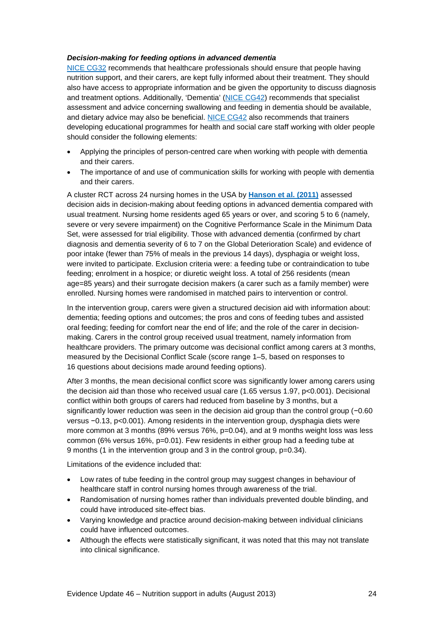### *Decision-making for feeding options in advanced dementia*

[NICE CG32](http://www.nice.org.uk/CG32) recommends that healthcare professionals should ensure that people having nutrition support, and their carers, are kept fully informed about their treatment. They should also have access to appropriate information and be given the opportunity to discuss diagnosis and treatment options. Additionally, 'Dementia' [\(NICE CG42\)](http://www.nice.org.uk/CG42) recommends that specialist assessment and advice concerning swallowing and feeding in dementia should be available, and dietary advice may also be beneficial. [NICE CG42](http://www.nice.org.uk/CG42) also recommends that trainers developing educational programmes for health and social care staff working with older people should consider the following elements:

- Applying the principles of person-centred care when working with people with dementia and their carers.
- The importance of and use of communication skills for working with people with dementia and their carers.

A cluster RCT across 24 nursing homes in the USA by **[Hanson et al. \(2011\)](http://onlinelibrary.wiley.com/doi/10.1111/j.1532-5415.2011.03629.x/abstract)** assessed decision aids in decision-making about feeding options in advanced dementia compared with usual treatment. Nursing home residents aged 65 years or over, and scoring 5 to 6 (namely, severe or very severe impairment) on the Cognitive Performance Scale in the Minimum Data Set, were assessed for trial eligibility. Those with advanced dementia (confirmed by chart diagnosis and dementia severity of 6 to 7 on the Global Deterioration Scale) and evidence of poor intake (fewer than 75% of meals in the previous 14 days), dysphagia or weight loss, were invited to participate. Exclusion criteria were: a feeding tube or contraindication to tube feeding; enrolment in a hospice; or diuretic weight loss. A total of 256 residents (mean age=85 years) and their surrogate decision makers (a carer such as a family member) were enrolled. Nursing homes were randomised in matched pairs to intervention or control.

In the intervention group, carers were given a structured decision aid with information about: dementia; feeding options and outcomes; the pros and cons of feeding tubes and assisted oral feeding; feeding for comfort near the end of life; and the role of the carer in decisionmaking. Carers in the control group received usual treatment, namely information from healthcare providers. The primary outcome was decisional conflict among carers at 3 months, measured by the Decisional Conflict Scale (score range 1–5, based on responses to 16 questions about decisions made around feeding options).

After 3 months, the mean decisional conflict score was significantly lower among carers using the decision aid than those who received usual care (1.65 versus 1.97, p<0.001). Decisional conflict within both groups of carers had reduced from baseline by 3 months, but a significantly lower reduction was seen in the decision aid group than the control group (−0.60 versus −0.13, p<0.001). Among residents in the intervention group, dysphagia diets were more common at 3 months (89% versus 76%, p=0.04), and at 9 months weight loss was less common (6% versus 16%, p=0.01). Few residents in either group had a feeding tube at 9 months (1 in the intervention group and 3 in the control group, p=0.34).

Limitations of the evidence included that:

- Low rates of tube feeding in the control group may suggest changes in behaviour of healthcare staff in control nursing homes through awareness of the trial.
- Randomisation of nursing homes rather than individuals prevented double blinding, and could have introduced site-effect bias.
- Varving knowledge and practice around decision-making between individual clinicians could have influenced outcomes.
- Although the effects were statistically significant, it was noted that this may not translate into clinical significance.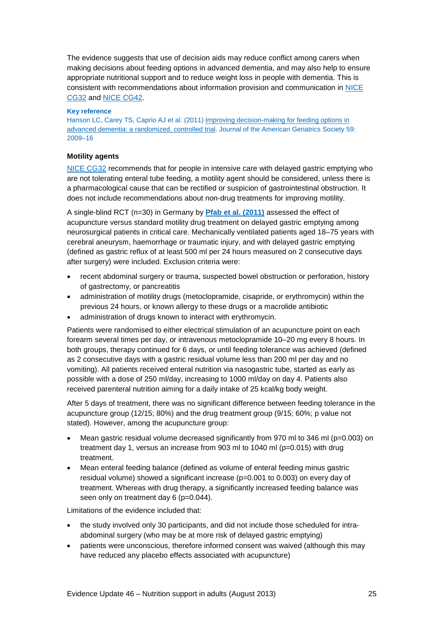The evidence suggests that use of decision aids may reduce conflict among carers when making decisions about feeding options in advanced dementia, and may also help to ensure appropriate nutritional support and to reduce weight loss in people with dementia. This is consistent with recommendations about information provision and communication in [NICE](http://www.nice.org.uk/CG32)  [CG32](http://www.nice.org.uk/CG32) and [NICE CG42.](http://www.nice.org.uk/CG42)

### **Key reference**

Hanson LC, Carey TS, Caprio AJ et al. (2011) Improving decision-making for feeding options in [advanced dementia: a randomized, controlled trial.](http://onlinelibrary.wiley.com/doi/10.1111/j.1532-5415.2011.03629.x/abstract) Journal of the American Geriatrics Society 59: 2009–16

### **Motility agents**

[NICE CG32](http://www.nice.org.uk/CG32) recommends that for people in intensive care with delayed gastric emptying who are not tolerating enteral tube feeding, a motility agent should be considered, unless there is a pharmacological cause that can be rectified or suspicion of gastrointestinal obstruction. It does not include recommendations about non-drug treatments for improving motility.

A single-blind RCT (n=30) in Germany by **[Pfab et al. \(2011\)](http://www.anesthesia-analgesia.org/content/112/1/150.long)** assessed the effect of acupuncture versus standard motility drug treatment on delayed gastric emptying among neurosurgical patients in critical care. Mechanically ventilated patients aged 18–75 years with cerebral aneurysm, haemorrhage or traumatic injury, and with delayed gastric emptying (defined as gastric reflux of at least 500 ml per 24 hours measured on 2 consecutive days after surgery) were included. Exclusion criteria were:

- recent abdominal surgery or trauma, suspected bowel obstruction or perforation, history of gastrectomy, or pancreatitis
- administration of motility drugs (metoclopramide, cisapride, or erythromycin) within the previous 24 hours, or known allergy to these drugs or a macrolide antibiotic
- administration of drugs known to interact with erythromycin.

Patients were randomised to either electrical stimulation of an acupuncture point on each forearm several times per day, or intravenous metoclopramide 10–20 mg every 8 hours. In both groups, therapy continued for 6 days, or until feeding tolerance was achieved (defined as 2 consecutive days with a gastric residual volume less than 200 ml per day and no vomiting). All patients received enteral nutrition via nasogastric tube, started as early as possible with a dose of 250 ml/day, increasing to 1000 ml/day on day 4. Patients also received parenteral nutrition aiming for a daily intake of 25 kcal/kg body weight.

After 5 days of treatment, there was no significant difference between feeding tolerance in the acupuncture group (12/15; 80%) and the drug treatment group (9/15; 60%; p value not stated). However, among the acupuncture group:

- Mean gastric residual volume decreased significantly from 970 ml to 346 ml (p=0.003) on treatment day 1, versus an increase from 903 ml to 1040 ml (p=0.015) with drug treatment.
- Mean enteral feeding balance (defined as volume of enteral feeding minus gastric residual volume) showed a significant increase (p=0.001 to 0.003) on every day of treatment. Whereas with drug therapy, a significantly increased feeding balance was seen only on treatment day 6 (p=0.044).

Limitations of the evidence included that:

- the study involved only 30 participants, and did not include those scheduled for intraabdominal surgery (who may be at more risk of delayed gastric emptying)
- patients were unconscious, therefore informed consent was waived (although this may have reduced any placebo effects associated with acupuncture)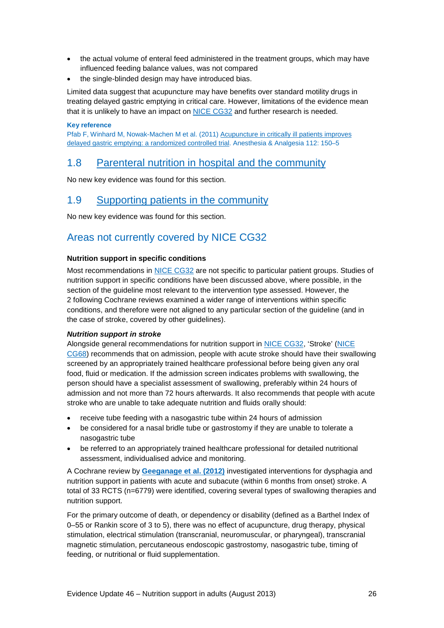- the actual volume of enteral feed administered in the treatment groups, which may have influenced feeding balance values, was not compared
- the single-blinded design may have introduced bias.

Limited data suggest that acupuncture may have benefits over standard motility drugs in treating delayed gastric emptying in critical care. However, limitations of the evidence mean that it is unlikely to have an impact on [NICE CG32](http://www.nice.org.uk/CG32) and further research is needed.

### **Key reference**

Pfab F, Winhard M, Nowak-Machen M et al. (2011[\) Acupuncture in critically ill patients improves](http://www.anesthesia-analgesia.org/content/112/1/150.long)  [delayed gastric emptying: a randomized controlled trial.](http://www.anesthesia-analgesia.org/content/112/1/150.long) Anesthesia & Analgesia 112: 150–5

### <span id="page-25-0"></span>1.8 [Parenteral nutrition in hospital and the community](http://publications.nice.org.uk/nutrition-support-in-adults-cg32/guidance#parenteral-nutrition-in-hospital-and-the-community)

No new key evidence was found for this section.

### <span id="page-25-1"></span>1.9 [Supporting patients in the community](http://publications.nice.org.uk/nutrition-support-in-adults-cg32/guidance#supporting-patients-in-the-community)

No new key evidence was found for this section.

### <span id="page-25-2"></span>Areas not currently covered by NICE CG32

### **Nutrition support in specific conditions**

Most recommendations in [NICE CG32](http://www.nice.org.uk/CG32) are not specific to particular patient groups. Studies of nutrition support in specific conditions have been discussed above, where possible, in the section of the guideline most relevant to the intervention type assessed. However, the 2 following Cochrane reviews examined a wider range of interventions within specific conditions, and therefore were not aligned to any particular section of the guideline (and in the case of stroke, covered by other guidelines).

### *Nutrition support in stroke*

Alongside general recommendations for nutrition support in [NICE CG32,](http://www.nice.org.uk/CG32) 'Stroke' [\(NICE](http://www.nice.org.uk/CG68)  [CG68\)](http://www.nice.org.uk/CG68) recommends that on admission, people with acute stroke should have their swallowing screened by an appropriately trained healthcare professional before being given any oral food, fluid or medication. If the admission screen indicates problems with swallowing, the person should have a specialist assessment of swallowing, preferably within 24 hours of admission and not more than 72 hours afterwards. It also recommends that people with acute stroke who are unable to take adequate nutrition and fluids orally should:

- receive tube feeding with a nasogastric tube within 24 hours of admission
- be considered for a nasal bridle tube or gastrostomy if they are unable to tolerate a nasogastric tube
- be referred to an appropriately trained healthcare professional for detailed nutritional assessment, individualised advice and monitoring.

A Cochrane review by **[Geeganage et al. \(2012\)](http://onlinelibrary.wiley.com/doi/10.1002/14651858.CD000323.pub2/abstract)** investigated interventions for dysphagia and nutrition support in patients with acute and subacute (within 6 months from onset) stroke. A total of 33 RCTS (n=6779) were identified, covering several types of swallowing therapies and nutrition support.

For the primary outcome of death, or dependency or disability (defined as a Barthel Index of 0–55 or Rankin score of 3 to 5), there was no effect of acupuncture, drug therapy, physical stimulation, electrical stimulation (transcranial, neuromuscular, or pharyngeal), transcranial magnetic stimulation, percutaneous endoscopic gastrostomy, nasogastric tube, timing of feeding, or nutritional or fluid supplementation.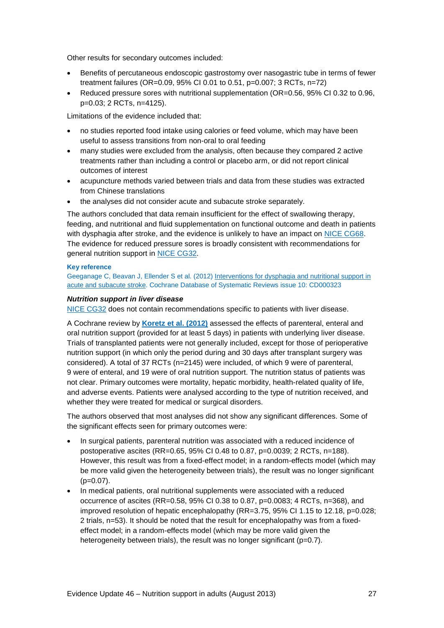Other results for secondary outcomes included:

- Benefits of percutaneous endoscopic gastrostomy over nasogastric tube in terms of fewer treatment failures (OR=0.09, 95% CI 0.01 to 0.51, p=0.007; 3 RCTs, n=72)
- Reduced pressure sores with nutritional supplementation (OR=0.56, 95% CI 0.32 to 0.96, p=0.03; 2 RCTs, n=4125).

Limitations of the evidence included that:

- no studies reported food intake using calories or feed volume, which may have been useful to assess transitions from non-oral to oral feeding
- many studies were excluded from the analysis, often because they compared 2 active treatments rather than including a control or placebo arm, or did not report clinical outcomes of interest
- acupuncture methods varied between trials and data from these studies was extracted from Chinese translations
- the analyses did not consider acute and subacute stroke separately.

The authors concluded that data remain insufficient for the effect of swallowing therapy, feeding, and nutritional and fluid supplementation on functional outcome and death in patients with dysphagia after stroke, and the evidence is unlikely to have an impact on [NICE CG68.](http://www.nice.org.uk/CG68) The evidence for reduced pressure sores is broadly consistent with recommendations for general nutrition support in [NICE CG32.](http://www.nice.org.uk/CG32)

### **Key reference**

Geeganage C, Beavan J, Ellender S et al. (2012) [Interventions for dysphagia and nutritional support in](http://onlinelibrary.wiley.com/doi/10.1002/14651858.CD000323.pub2/abstract)  acute and [subacute stroke.](http://onlinelibrary.wiley.com/doi/10.1002/14651858.CD000323.pub2/abstract) Cochrane Database of Systematic Reviews issue 10: CD000323

### *Nutrition support in liver disease*

[NICE CG32](http://www.nice.org.uk/CG32) does not contain recommendations specific to patients with liver disease.

A Cochrane review by **[Koretz et al. \(2012\)](http://onlinelibrary.wiley.com/doi/10.1002/14651858.CD008344.pub2/abstract)** assessed the effects of parenteral, enteral and oral nutrition support (provided for at least 5 days) in patients with underlying liver disease. Trials of transplanted patients were not generally included, except for those of perioperative nutrition support (in which only the period during and 30 days after transplant surgery was considered). A total of 37 RCTs (n=2145) were included, of which 9 were of parenteral, 9 were of enteral, and 19 were of oral nutrition support. The nutrition status of patients was not clear. Primary outcomes were mortality, hepatic morbidity, health-related quality of life, and adverse events. Patients were analysed according to the type of nutrition received, and whether they were treated for medical or surgical disorders.

The authors observed that most analyses did not show any significant differences. Some of the significant effects seen for primary outcomes were:

- In surgical patients, parenteral nutrition was associated with a reduced incidence of postoperative ascites (RR=0.65, 95% CI 0.48 to 0.87, p=0.0039; 2 RCTs, n=188). However, this result was from a fixed-effect model; in a random-effects model (which may be more valid given the heterogeneity between trials), the result was no longer significant  $(p=0.07)$ .
- In medical patients, oral nutritional supplements were associated with a reduced occurrence of ascites (RR=0.58, 95% CI 0.38 to 0.87, p=0.0083; 4 RCTs, n=368), and improved resolution of hepatic encephalopathy (RR=3.75, 95% CI 1.15 to 12.18, p=0.028; 2 trials, n=53). It should be noted that the result for encephalopathy was from a fixedeffect model; in a random-effects model (which may be more valid given the heterogeneity between trials), the result was no longer significant (p=0.7).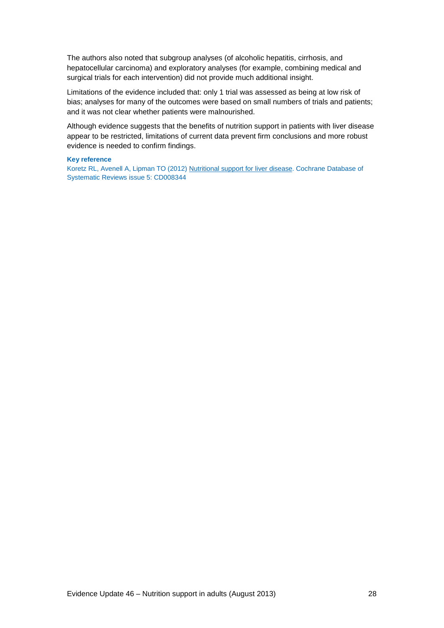The authors also noted that subgroup analyses (of alcoholic hepatitis, cirrhosis, and hepatocellular carcinoma) and exploratory analyses (for example, combining medical and surgical trials for each intervention) did not provide much additional insight.

Limitations of the evidence included that: only 1 trial was assessed as being at low risk of bias; analyses for many of the outcomes were based on small numbers of trials and patients; and it was not clear whether patients were malnourished.

Although evidence suggests that the benefits of nutrition support in patients with liver disease appear to be restricted, limitations of current data prevent firm conclusions and more robust evidence is needed to confirm findings.

#### **Key reference**

Koretz RL, Avenell A, Lipman TO (2012) [Nutritional support for liver disease.](http://onlinelibrary.wiley.com/doi/10.1002/14651858.CD008344.pub2/abstract) Cochrane Database of Systematic Reviews issue 5: CD008344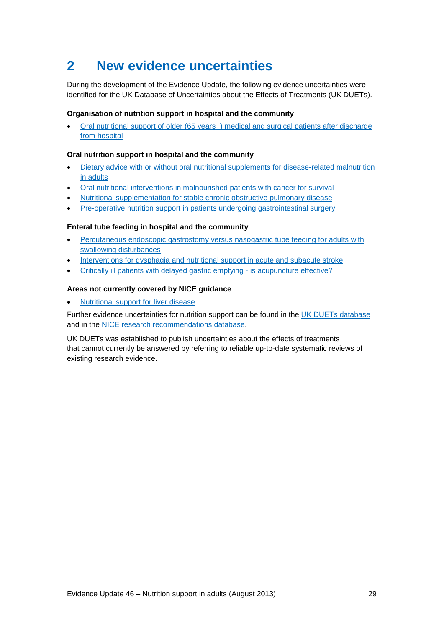## <span id="page-28-0"></span>**2 New evidence uncertainties**

During the development of the Evidence Update, the following evidence uncertainties were identified for the UK Database of Uncertainties about the Effects of Treatments (UK DUETs).

### **Organisation of nutrition support in hospital and the community**

• Oral nutritional support of older (65 years+) medical and surgical patients after discharge [from hospital](http://www.library.nhs.uk/duets/ViewResource.aspx?resID=415277&tabID=298)

### **Oral nutrition support in hospital and the community**

- [Dietary advice with or without oral nutritional supplements for disease-related malnutrition](http://www.library.nhs.uk/duets/ViewResource.aspx?resID=415276&tabID=298)  [in adults](http://www.library.nhs.uk/duets/ViewResource.aspx?resID=415276&tabID=298)
- [Oral nutritional interventions in malnourished patients with cancer for survival](http://www.library.nhs.uk/duets/ViewResource.aspx?resID=415275&tabID=298)
- [Nutritional supplementation for stable chronic obstructive pulmonary disease](http://www.library.nhs.uk/duets/ViewResource.aspx?resID=413621&tabID=297)
- [Pre-operative nutrition support in patients undergoing gastrointestinal surgery](http://www.library.nhs.uk/duets/ViewResource.aspx?resID=413419&tabID=297)

### **Enteral tube feeding in hospital and the community**

- [Percutaneous endoscopic gastrostomy versus nasogastric tube feeding for adults with](http://www.library.nhs.uk/duets/ViewResource.aspx?resID=412063&tabID=297)  [swallowing disturbances](http://www.library.nhs.uk/duets/ViewResource.aspx?resID=412063&tabID=297)
- [Interventions for dysphagia and nutritional support in acute and subacute stroke](http://www.library.nhs.uk/duets/ViewResource.aspx?resID=413329&tabID=297)
- [Critically ill patients with delayed gastric emptying -](http://www.library.nhs.uk/duets/ViewResource.aspx?resID=415274&tabID=296) is acupuncture effective?

### **Areas not currently covered by NICE guidance**

• [Nutritional support for liver disease](http://www.library.nhs.uk/duets/ViewResource.aspx?resID=412312&tabID=297)

Further evidence uncertainties for nutrition support can be found in the [UK DUETs database](http://www.library.nhs.uk/duets/) and in the [NICE research recommendations database.](http://www.nice.org.uk/research/index.jsp?action=rr)

UK DUETs was established to publish uncertainties about the effects of treatments that cannot currently be answered by referring to reliable up-to-date systematic reviews of existing research evidence.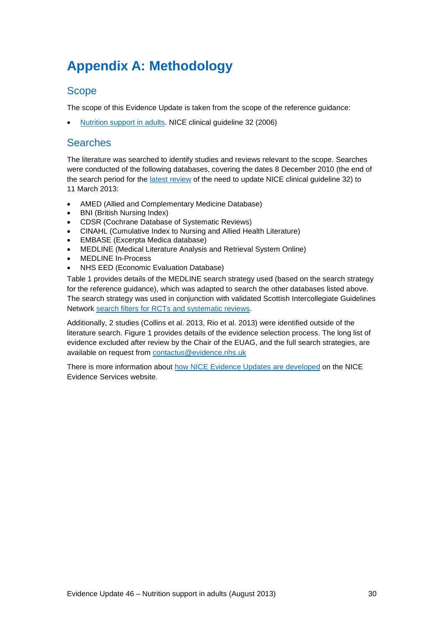## <span id="page-29-0"></span>**Appendix A: Methodology**

### **Scope**

The scope of this Evidence Update is taken from the scope of the reference guidance:

• [Nutrition support in adults.](http://www.nice.org.uk/CG32) NICE clinical guideline 32 (2006)

### **Searches**

The literature was searched to identify studies and reviews relevant to the scope. Searches were conducted of the following databases, covering the dates 8 December 2010 (the end of the search period for the [latest review](http://guidance.nice.org.uk/CG32/ReviewDecision/pdf/English) of the need to update NICE clinical guideline 32) to 11 March 2013:

- AMED (Allied and Complementary Medicine Database)
- BNI (British Nursing Index)
- CDSR (Cochrane Database of Systematic Reviews)
- CINAHL (Cumulative Index to Nursing and Allied Health Literature)
- EMBASE (Excerpta Medica database)
- MEDLINE (Medical Literature Analysis and Retrieval System Online)
- MEDLINE In-Process
- NHS EED (Economic Evaluation Database)

Table 1 provides details of the MEDLINE search strategy used (based on the search strategy for the reference guidance), which was adapted to search the other databases listed above. The search strategy was used in conjunction with validated Scottish Intercollegiate Guidelines Network [search filters for RCTs and systematic reviews.](http://www.sign.ac.uk/methodology/filters.html)

Additionally, 2 studies (Collins et al. 2013, Rio et al. 2013) were identified outside of the literature search. Figure 1 provides details of the evidence selection process. The long list of evidence excluded after review by the Chair of the EUAG, and the full search strategies, are available on request from [contactus@evidence.nhs.uk](mailto:contactus@evidence.nhs.uk)

There is more information about [how NICE Evidence Updates are developed](https://www.evidence.nhs.uk/nhs-evidence-content/evidence-updates/evidence-updates-process) on the NICE Evidence Services website.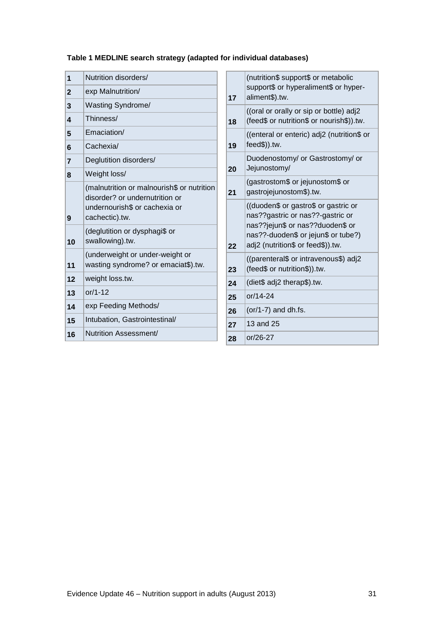### **Table 1 MEDLINE search strategy (adapted for individual databases)**

| $\overline{\mathbf{1}}$ | Nutrition disorders/                                                         |    | (nutrition\$ support\$ or metabolic                                                                                                                                                      |  |
|-------------------------|------------------------------------------------------------------------------|----|------------------------------------------------------------------------------------------------------------------------------------------------------------------------------------------|--|
| $\mathbf{2}$            | exp Malnutrition/                                                            | 17 | support\$ or hyperaliment\$ or hyper-<br>aliment\$).tw.                                                                                                                                  |  |
| $\mathbf{3}$            | Wasting Syndrome/                                                            |    | ((oral or orally or sip or bottle) adj2                                                                                                                                                  |  |
| $\overline{\mathbf{4}}$ | Thinness/                                                                    | 18 | (feed\$ or nutrition\$ or nourish\$)).tw.                                                                                                                                                |  |
| 5                       | Emaciation/                                                                  |    | ((enteral or enteric) adj2 (nutrition\$ or                                                                                                                                               |  |
| 6                       | Cachexia/                                                                    | 19 | feed\$)).tw.                                                                                                                                                                             |  |
| $\overline{7}$          | Deglutition disorders/                                                       | 20 | Duodenostomy/ or Gastrostomy/ or<br>Jejunostomy/                                                                                                                                         |  |
| 8                       | Weight loss/                                                                 |    | (gastrostom\$ or jejunostom\$ or                                                                                                                                                         |  |
|                         | (malnutrition or malnourish\$ or nutrition<br>disorder? or undernutrition or | 21 | gastrojejunostom\$).tw.                                                                                                                                                                  |  |
| 9                       | undernourish\$ or cachexia or<br>cachectic).tw.                              |    | ((duoden\$ or gastro\$ or gastric or<br>nas??gastric or nas??-gastric or<br>nas??jejun\$ or nas??duoden\$ or<br>nas??-duoden\$ or jejun\$ or tube?)<br>adj2 (nutrition\$ or feed\$)).tw. |  |
| 10                      | (deglutition or dysphagi\$ or<br>swallowing).tw.                             | 22 |                                                                                                                                                                                          |  |
| 11                      | (underweight or under-weight or<br>wasting syndrome? or emaciat\$).tw.       | 23 | ((parenteral\$ or intravenous\$) adj2<br>(feed\$ or nutrition\$)).tw.                                                                                                                    |  |
| 12                      | weight loss.tw.                                                              | 24 | (diet\$ adj2 therap\$).tw.                                                                                                                                                               |  |
| 13                      | $or/1-12$                                                                    | 25 | or/14-24                                                                                                                                                                                 |  |
| 14                      | exp Feeding Methods/                                                         | 26 | $(or/1-7)$ and dh.fs.                                                                                                                                                                    |  |
| 15                      | Intubation, Gastrointestinal/                                                | 27 | 13 and 25                                                                                                                                                                                |  |
| 16                      | Nutrition Assessment/                                                        | 28 | or/26-27                                                                                                                                                                                 |  |
|                         |                                                                              |    |                                                                                                                                                                                          |  |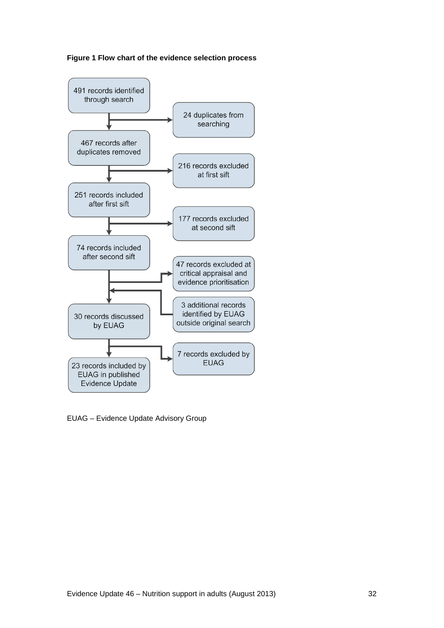



EUAG – Evidence Update Advisory Group